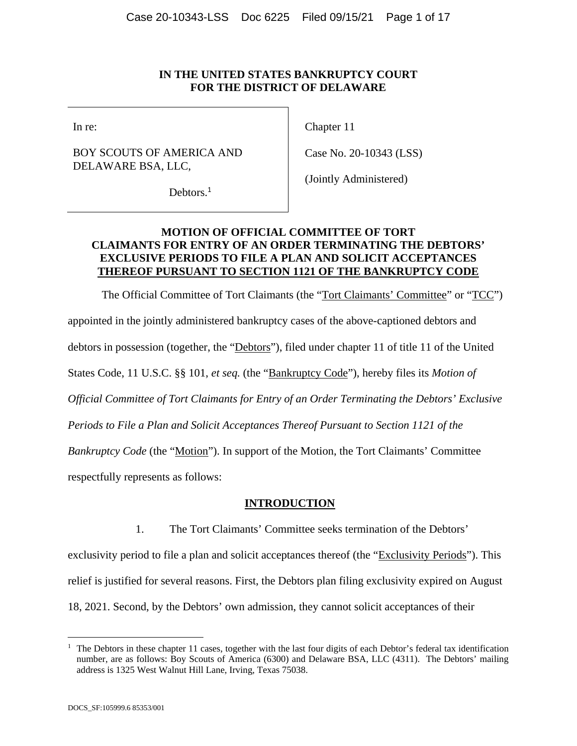#### **IN THE UNITED STATES BANKRUPTCY COURT FOR THE DISTRICT OF DELAWARE**

### BOY SCOUTS OF AMERICA AND DELAWARE BSA, LLC,

In re: Chapter 11

Case No. 20-10343 (LSS)

Debtors.<sup>1</sup>

(Jointly Administered)

## **MOTION OF OFFICIAL COMMITTEE OF TORT CLAIMANTS FOR ENTRY OF AN ORDER TERMINATING THE DEBTORS' EXCLUSIVE PERIODS TO FILE A PLAN AND SOLICIT ACCEPTANCES THEREOF PURSUANT TO SECTION 1121 OF THE BANKRUPTCY CODE**

The Official Committee of Tort Claimants (the "Tort Claimants' Committee" or "TCC") appointed in the jointly administered bankruptcy cases of the above-captioned debtors and debtors in possession (together, the "Debtors"), filed under chapter 11 of title 11 of the United States Code, 11 U.S.C. §§ 101, *et seq.* (the "Bankruptcy Code"), hereby files its *Motion of Official Committee of Tort Claimants for Entry of an Order Terminating the Debtors' Exclusive Periods to File a Plan and Solicit Acceptances Thereof Pursuant to Section 1121 of the Bankruptcy Code* (the "Motion"). In support of the Motion, the Tort Claimants' Committee respectfully represents as follows:

## **INTRODUCTION**

1. The Tort Claimants' Committee seeks termination of the Debtors'

exclusivity period to file a plan and solicit acceptances thereof (the "Exclusivity Periods"). This relief is justified for several reasons. First, the Debtors plan filing exclusivity expired on August 18, 2021. Second, by the Debtors' own admission, they cannot solicit acceptances of their

<sup>&</sup>lt;sup>1</sup> The Debtors in these chapter 11 cases, together with the last four digits of each Debtor's federal tax identification number, are as follows: Boy Scouts of America (6300) and Delaware BSA, LLC (4311). The Debtors' mailing address is 1325 West Walnut Hill Lane, Irving, Texas 75038.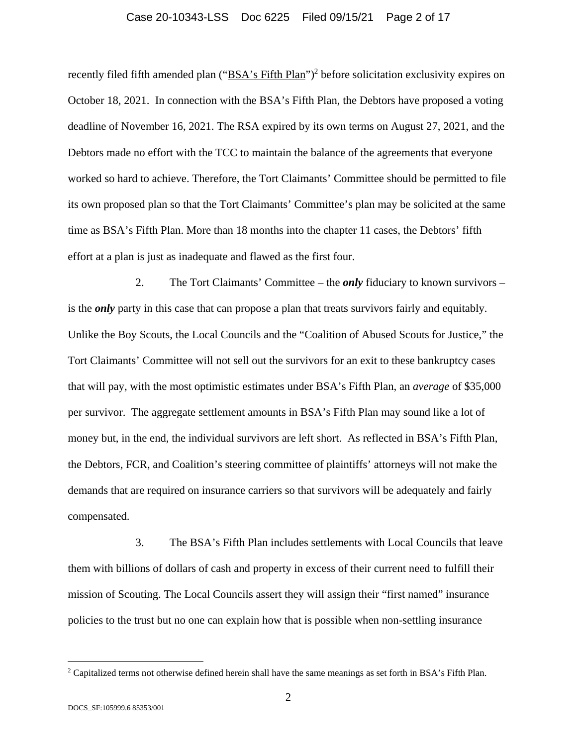#### Case 20-10343-LSS Doc 6225 Filed 09/15/21 Page 2 of 17

recently filed fifth amended plan ("BSA's Fifth Plan")<sup>2</sup> before solicitation exclusivity expires on October 18, 2021. In connection with the BSA's Fifth Plan, the Debtors have proposed a voting deadline of November 16, 2021. The RSA expired by its own terms on August 27, 2021, and the Debtors made no effort with the TCC to maintain the balance of the agreements that everyone worked so hard to achieve. Therefore, the Tort Claimants' Committee should be permitted to file its own proposed plan so that the Tort Claimants' Committee's plan may be solicited at the same time as BSA's Fifth Plan. More than 18 months into the chapter 11 cases, the Debtors' fifth effort at a plan is just as inadequate and flawed as the first four.

2. The Tort Claimants' Committee – the *only* fiduciary to known survivors – is the *only* party in this case that can propose a plan that treats survivors fairly and equitably. Unlike the Boy Scouts, the Local Councils and the "Coalition of Abused Scouts for Justice," the Tort Claimants' Committee will not sell out the survivors for an exit to these bankruptcy cases that will pay, with the most optimistic estimates under BSA's Fifth Plan, an *average* of \$35,000 per survivor. The aggregate settlement amounts in BSA's Fifth Plan may sound like a lot of money but, in the end, the individual survivors are left short. As reflected in BSA's Fifth Plan, the Debtors, FCR, and Coalition's steering committee of plaintiffs' attorneys will not make the demands that are required on insurance carriers so that survivors will be adequately and fairly compensated.

3. The BSA's Fifth Plan includes settlements with Local Councils that leave them with billions of dollars of cash and property in excess of their current need to fulfill their mission of Scouting. The Local Councils assert they will assign their "first named" insurance policies to the trust but no one can explain how that is possible when non-settling insurance

<sup>&</sup>lt;sup>2</sup> Capitalized terms not otherwise defined herein shall have the same meanings as set forth in BSA's Fifth Plan.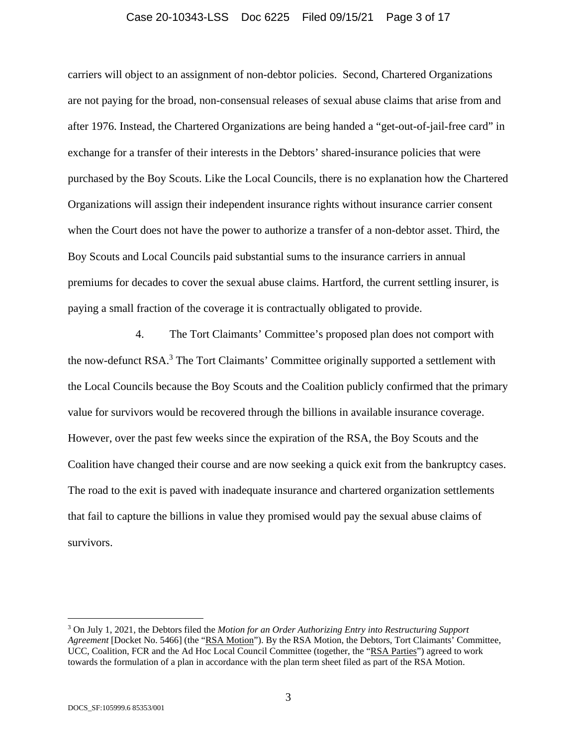#### Case 20-10343-LSS Doc 6225 Filed 09/15/21 Page 3 of 17

carriers will object to an assignment of non-debtor policies. Second, Chartered Organizations are not paying for the broad, non-consensual releases of sexual abuse claims that arise from and after 1976. Instead, the Chartered Organizations are being handed a "get-out-of-jail-free card" in exchange for a transfer of their interests in the Debtors' shared-insurance policies that were purchased by the Boy Scouts. Like the Local Councils, there is no explanation how the Chartered Organizations will assign their independent insurance rights without insurance carrier consent when the Court does not have the power to authorize a transfer of a non-debtor asset. Third, the Boy Scouts and Local Councils paid substantial sums to the insurance carriers in annual premiums for decades to cover the sexual abuse claims. Hartford, the current settling insurer, is paying a small fraction of the coverage it is contractually obligated to provide.

4. The Tort Claimants' Committee's proposed plan does not comport with the now-defunct RSA.<sup>3</sup> The Tort Claimants' Committee originally supported a settlement with the Local Councils because the Boy Scouts and the Coalition publicly confirmed that the primary value for survivors would be recovered through the billions in available insurance coverage. However, over the past few weeks since the expiration of the RSA, the Boy Scouts and the Coalition have changed their course and are now seeking a quick exit from the bankruptcy cases. The road to the exit is paved with inadequate insurance and chartered organization settlements that fail to capture the billions in value they promised would pay the sexual abuse claims of survivors.

<sup>3</sup> On July 1, 2021, the Debtors filed the *Motion for an Order Authorizing Entry into Restructuring Support Agreement* [Docket No. 5466] (the "RSA Motion"). By the RSA Motion, the Debtors, Tort Claimants' Committee, UCC, Coalition, FCR and the Ad Hoc Local Council Committee (together, the "RSA Parties") agreed to work towards the formulation of a plan in accordance with the plan term sheet filed as part of the RSA Motion.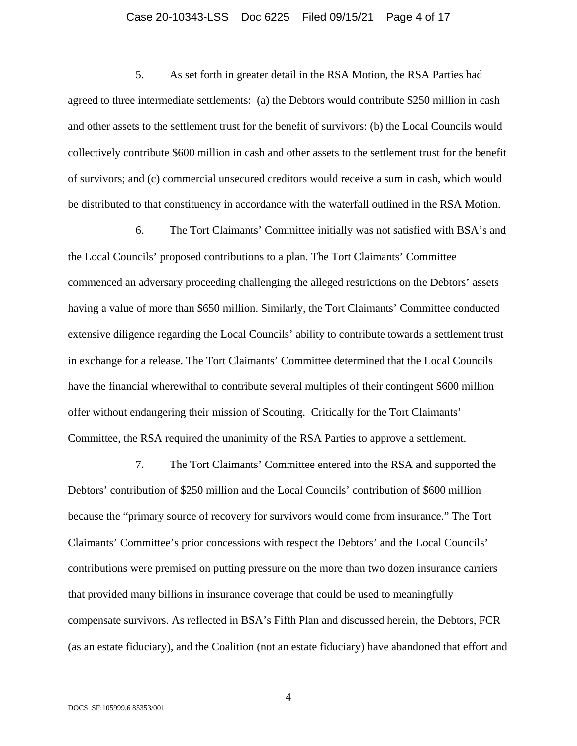#### Case 20-10343-LSS Doc 6225 Filed 09/15/21 Page 4 of 17

5. As set forth in greater detail in the RSA Motion, the RSA Parties had agreed to three intermediate settlements: (a) the Debtors would contribute \$250 million in cash and other assets to the settlement trust for the benefit of survivors: (b) the Local Councils would collectively contribute \$600 million in cash and other assets to the settlement trust for the benefit of survivors; and (c) commercial unsecured creditors would receive a sum in cash, which would be distributed to that constituency in accordance with the waterfall outlined in the RSA Motion.

6. The Tort Claimants' Committee initially was not satisfied with BSA's and the Local Councils' proposed contributions to a plan. The Tort Claimants' Committee commenced an adversary proceeding challenging the alleged restrictions on the Debtors' assets having a value of more than \$650 million. Similarly, the Tort Claimants' Committee conducted extensive diligence regarding the Local Councils' ability to contribute towards a settlement trust in exchange for a release. The Tort Claimants' Committee determined that the Local Councils have the financial wherewithal to contribute several multiples of their contingent \$600 million offer without endangering their mission of Scouting. Critically for the Tort Claimants' Committee, the RSA required the unanimity of the RSA Parties to approve a settlement.

7. The Tort Claimants' Committee entered into the RSA and supported the Debtors' contribution of \$250 million and the Local Councils' contribution of \$600 million because the "primary source of recovery for survivors would come from insurance." The Tort Claimants' Committee's prior concessions with respect the Debtors' and the Local Councils' contributions were premised on putting pressure on the more than two dozen insurance carriers that provided many billions in insurance coverage that could be used to meaningfully compensate survivors. As reflected in BSA's Fifth Plan and discussed herein, the Debtors, FCR (as an estate fiduciary), and the Coalition (not an estate fiduciary) have abandoned that effort and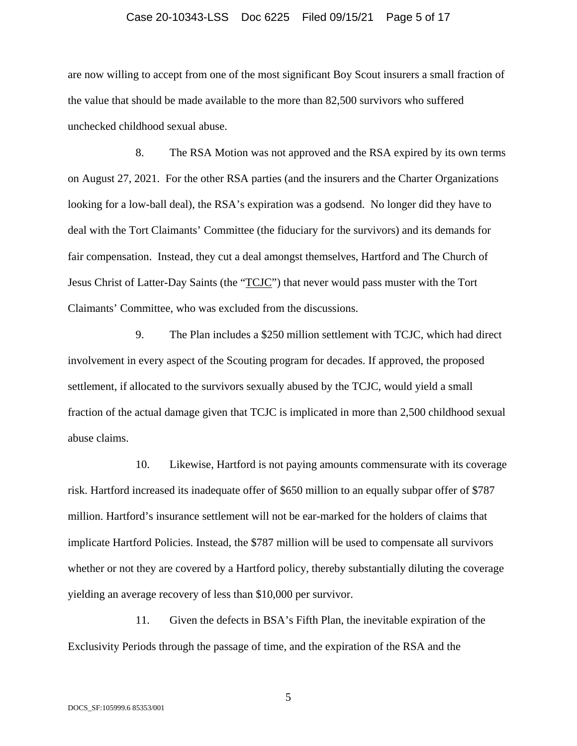#### Case 20-10343-LSS Doc 6225 Filed 09/15/21 Page 5 of 17

are now willing to accept from one of the most significant Boy Scout insurers a small fraction of the value that should be made available to the more than 82,500 survivors who suffered unchecked childhood sexual abuse.

8. The RSA Motion was not approved and the RSA expired by its own terms on August 27, 2021. For the other RSA parties (and the insurers and the Charter Organizations looking for a low-ball deal), the RSA's expiration was a godsend. No longer did they have to deal with the Tort Claimants' Committee (the fiduciary for the survivors) and its demands for fair compensation. Instead, they cut a deal amongst themselves, Hartford and The Church of Jesus Christ of Latter-Day Saints (the "TCJC") that never would pass muster with the Tort Claimants' Committee, who was excluded from the discussions.

9. The Plan includes a \$250 million settlement with TCJC, which had direct involvement in every aspect of the Scouting program for decades. If approved, the proposed settlement, if allocated to the survivors sexually abused by the TCJC, would yield a small fraction of the actual damage given that TCJC is implicated in more than 2,500 childhood sexual abuse claims.

10. Likewise, Hartford is not paying amounts commensurate with its coverage risk. Hartford increased its inadequate offer of \$650 million to an equally subpar offer of \$787 million. Hartford's insurance settlement will not be ear-marked for the holders of claims that implicate Hartford Policies. Instead, the \$787 million will be used to compensate all survivors whether or not they are covered by a Hartford policy, thereby substantially diluting the coverage yielding an average recovery of less than \$10,000 per survivor.

11. Given the defects in BSA's Fifth Plan, the inevitable expiration of the Exclusivity Periods through the passage of time, and the expiration of the RSA and the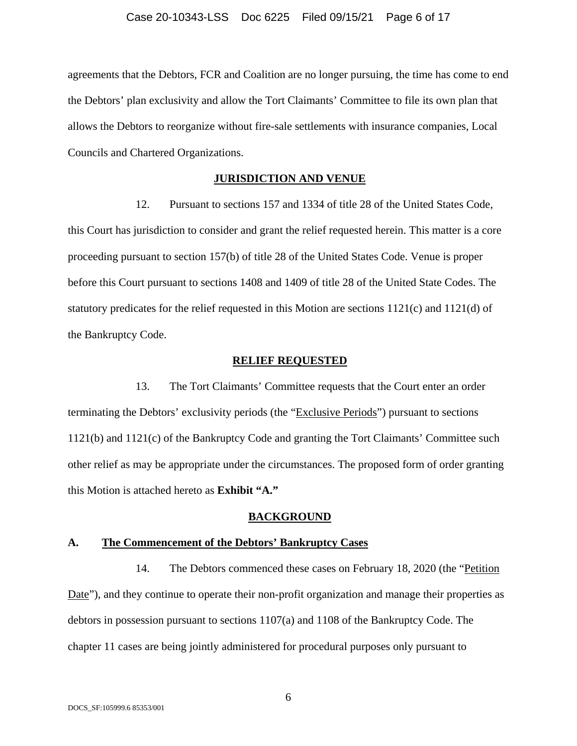agreements that the Debtors, FCR and Coalition are no longer pursuing, the time has come to end the Debtors' plan exclusivity and allow the Tort Claimants' Committee to file its own plan that allows the Debtors to reorganize without fire-sale settlements with insurance companies, Local Councils and Chartered Organizations.

#### **JURISDICTION AND VENUE**

12. Pursuant to sections 157 and 1334 of title 28 of the United States Code, this Court has jurisdiction to consider and grant the relief requested herein. This matter is a core proceeding pursuant to section 157(b) of title 28 of the United States Code. Venue is proper before this Court pursuant to sections 1408 and 1409 of title 28 of the United State Codes. The statutory predicates for the relief requested in this Motion are sections 1121(c) and 1121(d) of the Bankruptcy Code.

#### **RELIEF REQUESTED**

13. The Tort Claimants' Committee requests that the Court enter an order terminating the Debtors' exclusivity periods (the "Exclusive Periods") pursuant to sections 1121(b) and 1121(c) of the Bankruptcy Code and granting the Tort Claimants' Committee such other relief as may be appropriate under the circumstances. The proposed form of order granting this Motion is attached hereto as **Exhibit "A."**

#### **BACKGROUND**

#### **A. The Commencement of the Debtors' Bankruptcy Cases**

14. The Debtors commenced these cases on February 18, 2020 (the "Petition Date"), and they continue to operate their non-profit organization and manage their properties as debtors in possession pursuant to sections 1107(a) and 1108 of the Bankruptcy Code. The chapter 11 cases are being jointly administered for procedural purposes only pursuant to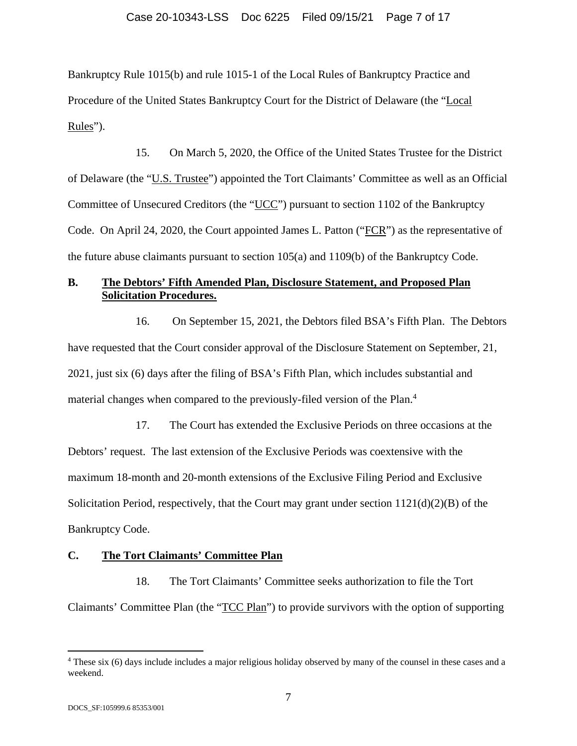Bankruptcy Rule 1015(b) and rule 1015-1 of the Local Rules of Bankruptcy Practice and Procedure of the United States Bankruptcy Court for the District of Delaware (the "Local Rules").

15. On March 5, 2020, the Office of the United States Trustee for the District of Delaware (the "U.S. Trustee") appointed the Tort Claimants' Committee as well as an Official Committee of Unsecured Creditors (the "UCC") pursuant to section 1102 of the Bankruptcy Code. On April 24, 2020, the Court appointed James L. Patton ("FCR") as the representative of the future abuse claimants pursuant to section 105(a) and 1109(b) of the Bankruptcy Code.

## **B. The Debtors' Fifth Amended Plan, Disclosure Statement, and Proposed Plan Solicitation Procedures.**

16. On September 15, 2021, the Debtors filed BSA's Fifth Plan. The Debtors have requested that the Court consider approval of the Disclosure Statement on September, 21, 2021, just six (6) days after the filing of BSA's Fifth Plan, which includes substantial and material changes when compared to the previously-filed version of the Plan.<sup>4</sup>

17. The Court has extended the Exclusive Periods on three occasions at the Debtors' request. The last extension of the Exclusive Periods was coextensive with the maximum 18-month and 20-month extensions of the Exclusive Filing Period and Exclusive Solicitation Period, respectively, that the Court may grant under section 1121(d)(2)(B) of the Bankruptcy Code.

#### **C. The Tort Claimants' Committee Plan**

18. The Tort Claimants' Committee seeks authorization to file the Tort Claimants' Committee Plan (the "TCC Plan") to provide survivors with the option of supporting

<sup>4</sup> These six (6) days include includes a major religious holiday observed by many of the counsel in these cases and a weekend.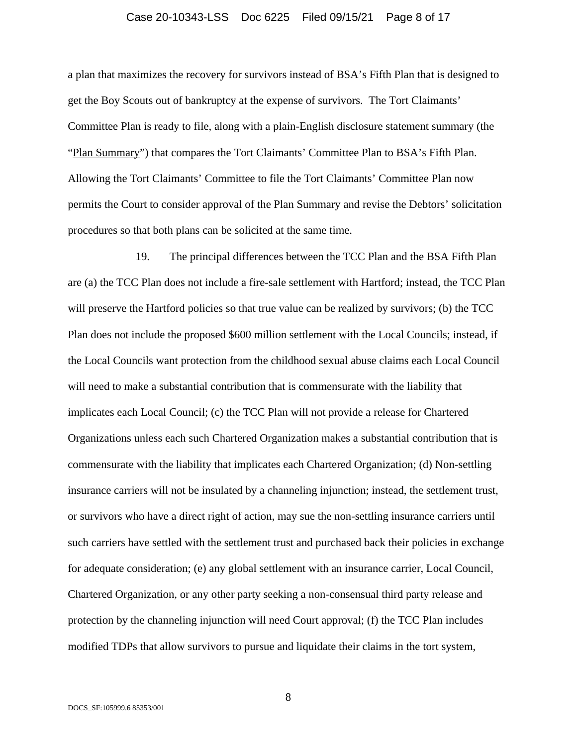#### Case 20-10343-LSS Doc 6225 Filed 09/15/21 Page 8 of 17

a plan that maximizes the recovery for survivors instead of BSA's Fifth Plan that is designed to get the Boy Scouts out of bankruptcy at the expense of survivors. The Tort Claimants' Committee Plan is ready to file, along with a plain-English disclosure statement summary (the "Plan Summary") that compares the Tort Claimants' Committee Plan to BSA's Fifth Plan. Allowing the Tort Claimants' Committee to file the Tort Claimants' Committee Plan now permits the Court to consider approval of the Plan Summary and revise the Debtors' solicitation procedures so that both plans can be solicited at the same time.

19. The principal differences between the TCC Plan and the BSA Fifth Plan are (a) the TCC Plan does not include a fire-sale settlement with Hartford; instead, the TCC Plan will preserve the Hartford policies so that true value can be realized by survivors; (b) the TCC Plan does not include the proposed \$600 million settlement with the Local Councils; instead, if the Local Councils want protection from the childhood sexual abuse claims each Local Council will need to make a substantial contribution that is commensurate with the liability that implicates each Local Council; (c) the TCC Plan will not provide a release for Chartered Organizations unless each such Chartered Organization makes a substantial contribution that is commensurate with the liability that implicates each Chartered Organization; (d) Non-settling insurance carriers will not be insulated by a channeling injunction; instead, the settlement trust, or survivors who have a direct right of action, may sue the non-settling insurance carriers until such carriers have settled with the settlement trust and purchased back their policies in exchange for adequate consideration; (e) any global settlement with an insurance carrier, Local Council, Chartered Organization, or any other party seeking a non-consensual third party release and protection by the channeling injunction will need Court approval; (f) the TCC Plan includes modified TDPs that allow survivors to pursue and liquidate their claims in the tort system,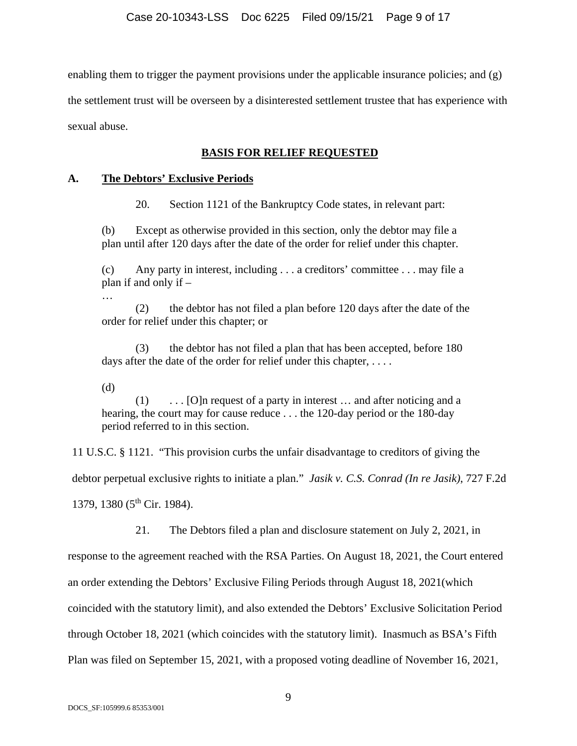enabling them to trigger the payment provisions under the applicable insurance policies; and (g) the settlement trust will be overseen by a disinterested settlement trustee that has experience with

sexual abuse.

## **BASIS FOR RELIEF REQUESTED**

## **A. The Debtors' Exclusive Periods**

20. Section 1121 of the Bankruptcy Code states, in relevant part:

(b) Except as otherwise provided in this section, only the debtor may file a plan until after 120 days after the date of the order for relief under this chapter.

(c) Any party in interest, including . . . a creditors' committee . . . may file a plan if and only if –

 (2) the debtor has not filed a plan before 120 days after the date of the order for relief under this chapter; or

 (3) the debtor has not filed a plan that has been accepted, before 180 days after the date of the order for relief under this chapter, ....

(d)

…

 (1) . . . [O]n request of a party in interest … and after noticing and a hearing, the court may for cause reduce . . . the 120-day period or the 180-day period referred to in this section.

11 U.S.C. § 1121. "This provision curbs the unfair disadvantage to creditors of giving the debtor perpetual exclusive rights to initiate a plan." *Jasik v. C.S. Conrad (In re Jasik)*, 727 F.2d 1379, 1380  $(5<sup>th</sup>$  Cir. 1984).

21. The Debtors filed a plan and disclosure statement on July 2, 2021, in

response to the agreement reached with the RSA Parties. On August 18, 2021, the Court entered an order extending the Debtors' Exclusive Filing Periods through August 18, 2021(which coincided with the statutory limit), and also extended the Debtors' Exclusive Solicitation Period through October 18, 2021 (which coincides with the statutory limit). Inasmuch as BSA's Fifth Plan was filed on September 15, 2021, with a proposed voting deadline of November 16, 2021,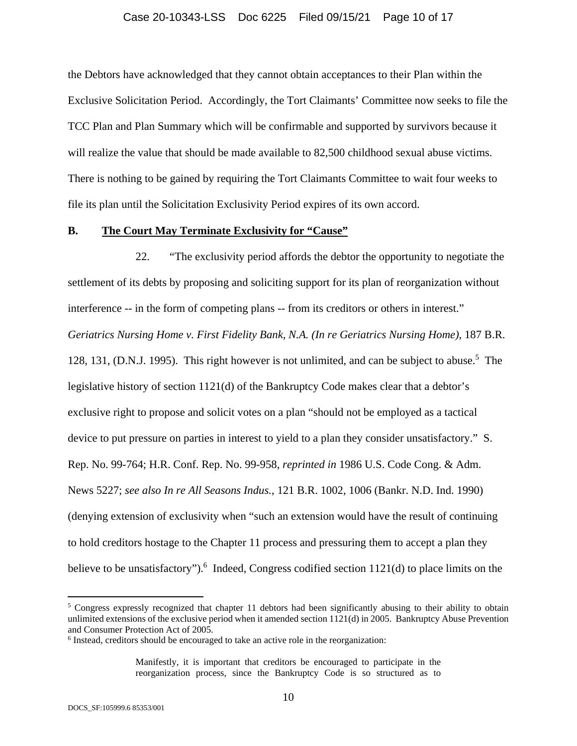#### Case 20-10343-LSS Doc 6225 Filed 09/15/21 Page 10 of 17

the Debtors have acknowledged that they cannot obtain acceptances to their Plan within the Exclusive Solicitation Period. Accordingly, the Tort Claimants' Committee now seeks to file the TCC Plan and Plan Summary which will be confirmable and supported by survivors because it will realize the value that should be made available to 82,500 childhood sexual abuse victims. There is nothing to be gained by requiring the Tort Claimants Committee to wait four weeks to file its plan until the Solicitation Exclusivity Period expires of its own accord.

#### **B. The Court May Terminate Exclusivity for "Cause"**

22. "The exclusivity period affords the debtor the opportunity to negotiate the settlement of its debts by proposing and soliciting support for its plan of reorganization without interference -- in the form of competing plans -- from its creditors or others in interest." *Geriatrics Nursing Home v. First Fidelity Bank, N.A. (In re Geriatrics Nursing Home)*, 187 B.R. 128, 131, (D.N.J. 1995). This right however is not unlimited, and can be subject to abuse.<sup>5</sup> The legislative history of section 1121(d) of the Bankruptcy Code makes clear that a debtor's exclusive right to propose and solicit votes on a plan "should not be employed as a tactical device to put pressure on parties in interest to yield to a plan they consider unsatisfactory." S. Rep. No. 99-764; H.R. Conf. Rep. No. 99-958, *reprinted in* 1986 U.S. Code Cong. & Adm. News 5227; *see also In re All Seasons Indus.*, 121 B.R. 1002, 1006 (Bankr. N.D. Ind. 1990) (denying extension of exclusivity when "such an extension would have the result of continuing to hold creditors hostage to the Chapter 11 process and pressuring them to accept a plan they believe to be unsatisfactory"). <sup>6</sup> Indeed, Congress codified section  $1121(d)$  to place limits on the

<sup>&</sup>lt;sup>5</sup> Congress expressly recognized that chapter 11 debtors had been significantly abusing to their ability to obtain unlimited extensions of the exclusive period when it amended section 1121(d) in 2005. Bankruptcy Abuse Prevention and Consumer Protection Act of 2005.

<sup>&</sup>lt;sup>6</sup> Instead, creditors should be encouraged to take an active role in the reorganization:

Manifestly, it is important that creditors be encouraged to participate in the reorganization process, since the Bankruptcy Code is so structured as to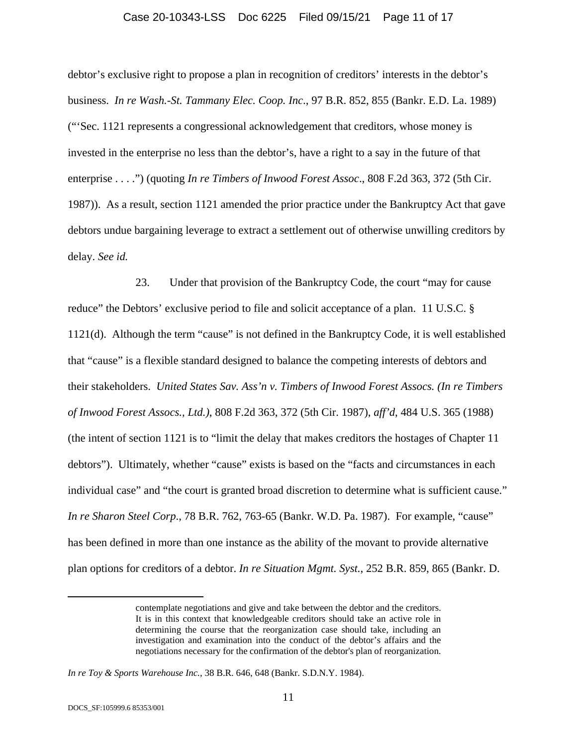#### Case 20-10343-LSS Doc 6225 Filed 09/15/21 Page 11 of 17

debtor's exclusive right to propose a plan in recognition of creditors' interests in the debtor's business. *In re Wash.-St. Tammany Elec. Coop. Inc*., 97 B.R. 852, 855 (Bankr. E.D. La. 1989) ("'Sec. 1121 represents a congressional acknowledgement that creditors, whose money is invested in the enterprise no less than the debtor's, have a right to a say in the future of that enterprise . . . .") (quoting *In re Timbers of Inwood Forest Assoc*., 808 F.2d 363, 372 (5th Cir. 1987)). As a result, section 1121 amended the prior practice under the Bankruptcy Act that gave debtors undue bargaining leverage to extract a settlement out of otherwise unwilling creditors by delay. *See id.*

23. Under that provision of the Bankruptcy Code, the court "may for cause reduce" the Debtors' exclusive period to file and solicit acceptance of a plan. 11 U.S.C. § 1121(d). Although the term "cause" is not defined in the Bankruptcy Code, it is well established that "cause" is a flexible standard designed to balance the competing interests of debtors and their stakeholders. *United States Sav. Ass'n v. Timbers of Inwood Forest Assocs. (In re Timbers of Inwood Forest Assocs., Ltd.)*, 808 F.2d 363, 372 (5th Cir. 1987), *aff'd*, 484 U.S. 365 (1988) (the intent of section 1121 is to "limit the delay that makes creditors the hostages of Chapter 11 debtors"). Ultimately, whether "cause" exists is based on the "facts and circumstances in each individual case" and "the court is granted broad discretion to determine what is sufficient cause." *In re Sharon Steel Corp*., 78 B.R. 762, 763-65 (Bankr. W.D. Pa. 1987). For example, "cause" has been defined in more than one instance as the ability of the movant to provide alternative plan options for creditors of a debtor. *In re Situation Mgmt. Syst.*, 252 B.R. 859, 865 (Bankr. D.

contemplate negotiations and give and take between the debtor and the creditors. It is in this context that knowledgeable creditors should take an active role in determining the course that the reorganization case should take, including an investigation and examination into the conduct of the debtor's affairs and the negotiations necessary for the confirmation of the debtor's plan of reorganization.

*In re Toy & Sports Warehouse Inc.*, 38 B.R. 646, 648 (Bankr. S.D.N.Y. 1984).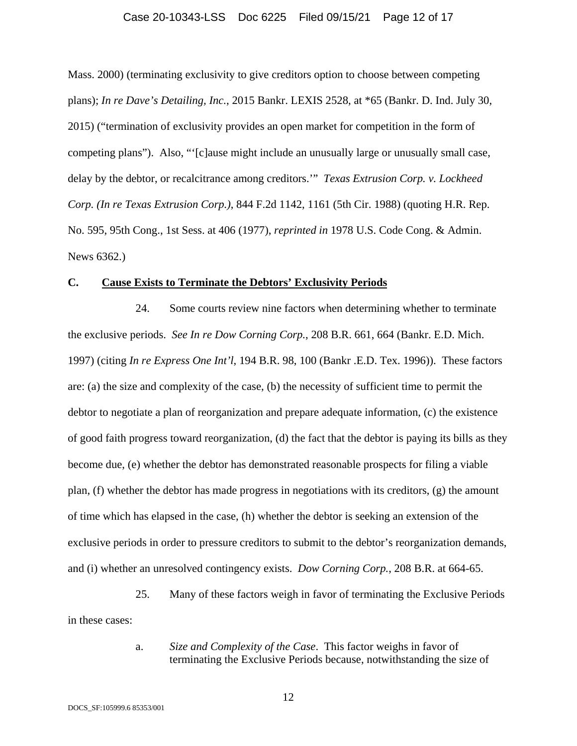#### Case 20-10343-LSS Doc 6225 Filed 09/15/21 Page 12 of 17

Mass. 2000) (terminating exclusivity to give creditors option to choose between competing plans); *In re Dave's Detailing, Inc.*, 2015 Bankr. LEXIS 2528, at \*65 (Bankr. D. Ind. July 30, 2015) ("termination of exclusivity provides an open market for competition in the form of competing plans"). Also, "'[c]ause might include an unusually large or unusually small case, delay by the debtor, or recalcitrance among creditors.'" *Texas Extrusion Corp. v. Lockheed Corp. (In re Texas Extrusion Corp.)*, 844 F.2d 1142, 1161 (5th Cir. 1988) (quoting H.R. Rep. No. 595, 95th Cong., 1st Sess. at 406 (1977), *reprinted in* 1978 U.S. Code Cong. & Admin. News 6362.)

#### **C. Cause Exists to Terminate the Debtors' Exclusivity Periods**

24. Some courts review nine factors when determining whether to terminate the exclusive periods. *See In re Dow Corning Corp.*, 208 B.R. 661, 664 (Bankr. E.D. Mich. 1997) (citing *In re Express One Int'l*, 194 B.R. 98, 100 (Bankr .E.D. Tex. 1996)). These factors are: (a) the size and complexity of the case, (b) the necessity of sufficient time to permit the debtor to negotiate a plan of reorganization and prepare adequate information, (c) the existence of good faith progress toward reorganization, (d) the fact that the debtor is paying its bills as they become due, (e) whether the debtor has demonstrated reasonable prospects for filing a viable plan, (f) whether the debtor has made progress in negotiations with its creditors, (g) the amount of time which has elapsed in the case, (h) whether the debtor is seeking an extension of the exclusive periods in order to pressure creditors to submit to the debtor's reorganization demands, and (i) whether an unresolved contingency exists. *Dow Corning Corp.*, 208 B.R. at 664-65.

25. Many of these factors weigh in favor of terminating the Exclusive Periods in these cases:

> a. *Size and Complexity of the Case*. This factor weighs in favor of terminating the Exclusive Periods because, notwithstanding the size of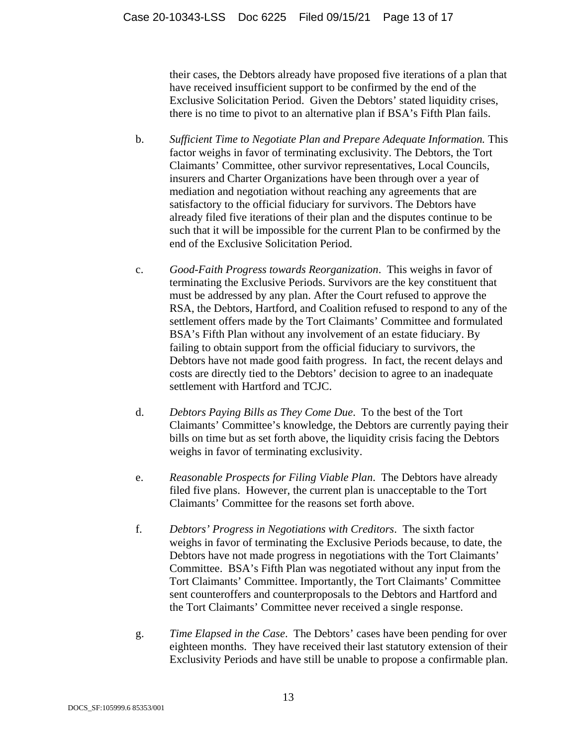their cases, the Debtors already have proposed five iterations of a plan that have received insufficient support to be confirmed by the end of the Exclusive Solicitation Period. Given the Debtors' stated liquidity crises, there is no time to pivot to an alternative plan if BSA's Fifth Plan fails.

- b. *Sufficient Time to Negotiate Plan and Prepare Adequate Information.* This factor weighs in favor of terminating exclusivity. The Debtors, the Tort Claimants' Committee, other survivor representatives, Local Councils, insurers and Charter Organizations have been through over a year of mediation and negotiation without reaching any agreements that are satisfactory to the official fiduciary for survivors. The Debtors have already filed five iterations of their plan and the disputes continue to be such that it will be impossible for the current Plan to be confirmed by the end of the Exclusive Solicitation Period.
- c. *Good-Faith Progress towards Reorganization*. This weighs in favor of terminating the Exclusive Periods. Survivors are the key constituent that must be addressed by any plan. After the Court refused to approve the RSA, the Debtors, Hartford, and Coalition refused to respond to any of the settlement offers made by the Tort Claimants' Committee and formulated BSA's Fifth Plan without any involvement of an estate fiduciary. By failing to obtain support from the official fiduciary to survivors, the Debtors have not made good faith progress. In fact, the recent delays and costs are directly tied to the Debtors' decision to agree to an inadequate settlement with Hartford and TCJC.
- d. *Debtors Paying Bills as They Come Due*. To the best of the Tort Claimants' Committee's knowledge, the Debtors are currently paying their bills on time but as set forth above, the liquidity crisis facing the Debtors weighs in favor of terminating exclusivity.
- e. *Reasonable Prospects for Filing Viable Plan*. The Debtors have already filed five plans. However, the current plan is unacceptable to the Tort Claimants' Committee for the reasons set forth above.
- f. *Debtors' Progress in Negotiations with Creditors*. The sixth factor weighs in favor of terminating the Exclusive Periods because, to date, the Debtors have not made progress in negotiations with the Tort Claimants' Committee. BSA's Fifth Plan was negotiated without any input from the Tort Claimants' Committee. Importantly, the Tort Claimants' Committee sent counteroffers and counterproposals to the Debtors and Hartford and the Tort Claimants' Committee never received a single response.
- g. *Time Elapsed in the Case*. The Debtors' cases have been pending for over eighteen months. They have received their last statutory extension of their Exclusivity Periods and have still be unable to propose a confirmable plan.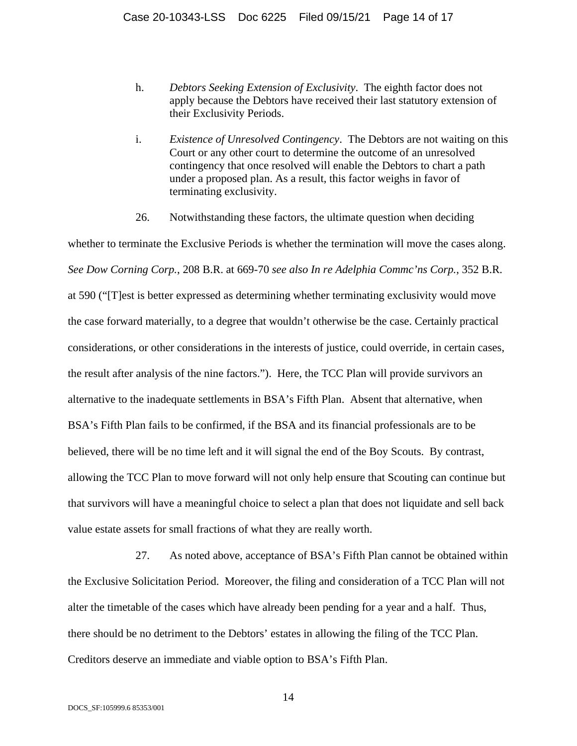- h. *Debtors Seeking Extension of Exclusivity*. The eighth factor does not apply because the Debtors have received their last statutory extension of their Exclusivity Periods.
- i. *Existence of Unresolved Contingency*. The Debtors are not waiting on this Court or any other court to determine the outcome of an unresolved contingency that once resolved will enable the Debtors to chart a path under a proposed plan. As a result, this factor weighs in favor of terminating exclusivity.
- 26. Notwithstanding these factors, the ultimate question when deciding

whether to terminate the Exclusive Periods is whether the termination will move the cases along. *See Dow Corning Corp.*, 208 B.R. at 669-70 *see also In re Adelphia Commc'ns Corp.*, 352 B.R. at 590 ("[T]est is better expressed as determining whether terminating exclusivity would move the case forward materially, to a degree that wouldn't otherwise be the case. Certainly practical considerations, or other considerations in the interests of justice, could override, in certain cases, the result after analysis of the nine factors."). Here, the TCC Plan will provide survivors an alternative to the inadequate settlements in BSA's Fifth Plan. Absent that alternative, when BSA's Fifth Plan fails to be confirmed, if the BSA and its financial professionals are to be believed, there will be no time left and it will signal the end of the Boy Scouts. By contrast, allowing the TCC Plan to move forward will not only help ensure that Scouting can continue but that survivors will have a meaningful choice to select a plan that does not liquidate and sell back value estate assets for small fractions of what they are really worth.

27. As noted above, acceptance of BSA's Fifth Plan cannot be obtained within the Exclusive Solicitation Period. Moreover, the filing and consideration of a TCC Plan will not alter the timetable of the cases which have already been pending for a year and a half. Thus, there should be no detriment to the Debtors' estates in allowing the filing of the TCC Plan. Creditors deserve an immediate and viable option to BSA's Fifth Plan.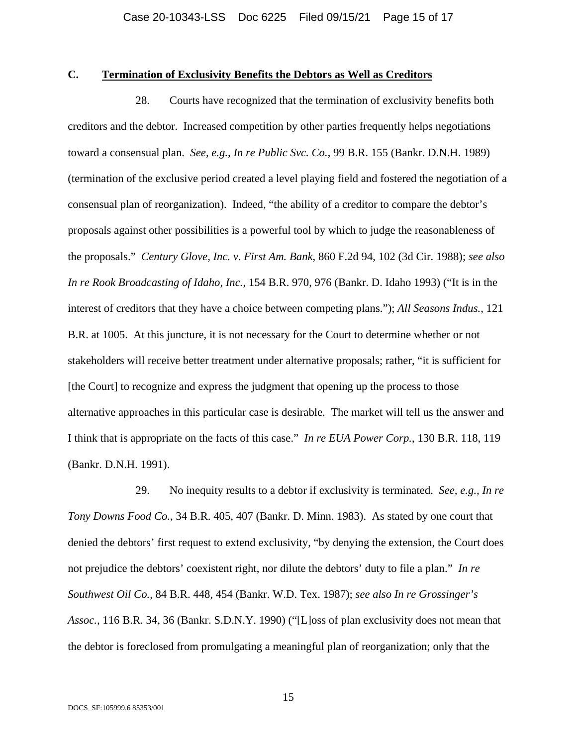## **C. Termination of Exclusivity Benefits the Debtors as Well as Creditors**

28. Courts have recognized that the termination of exclusivity benefits both creditors and the debtor. Increased competition by other parties frequently helps negotiations toward a consensual plan. *See, e.g., In re Public Svc. Co.*, 99 B.R. 155 (Bankr. D.N.H. 1989) (termination of the exclusive period created a level playing field and fostered the negotiation of a consensual plan of reorganization). Indeed, "the ability of a creditor to compare the debtor's proposals against other possibilities is a powerful tool by which to judge the reasonableness of the proposals." *Century Glove, Inc. v. First Am. Bank*, 860 F.2d 94, 102 (3d Cir. 1988); *see also In re Rook Broadcasting of Idaho, Inc.*, 154 B.R. 970, 976 (Bankr. D. Idaho 1993) ("It is in the interest of creditors that they have a choice between competing plans."); *All Seasons Indus.*, 121 B.R. at 1005. At this juncture, it is not necessary for the Court to determine whether or not stakeholders will receive better treatment under alternative proposals; rather, "it is sufficient for [the Court] to recognize and express the judgment that opening up the process to those alternative approaches in this particular case is desirable. The market will tell us the answer and I think that is appropriate on the facts of this case." *In re EUA Power Corp.*, 130 B.R. 118, 119 (Bankr. D.N.H. 1991).

29. No inequity results to a debtor if exclusivity is terminated. *See, e.g., In re Tony Downs Food Co.*, 34 B.R. 405, 407 (Bankr. D. Minn. 1983). As stated by one court that denied the debtors' first request to extend exclusivity, "by denying the extension, the Court does not prejudice the debtors' coexistent right, nor dilute the debtors' duty to file a plan." *In re Southwest Oil Co.*, 84 B.R. 448, 454 (Bankr. W.D. Tex. 1987); *see also In re Grossinger's Assoc.*, 116 B.R. 34, 36 (Bankr. S.D.N.Y. 1990) ("[L]oss of plan exclusivity does not mean that the debtor is foreclosed from promulgating a meaningful plan of reorganization; only that the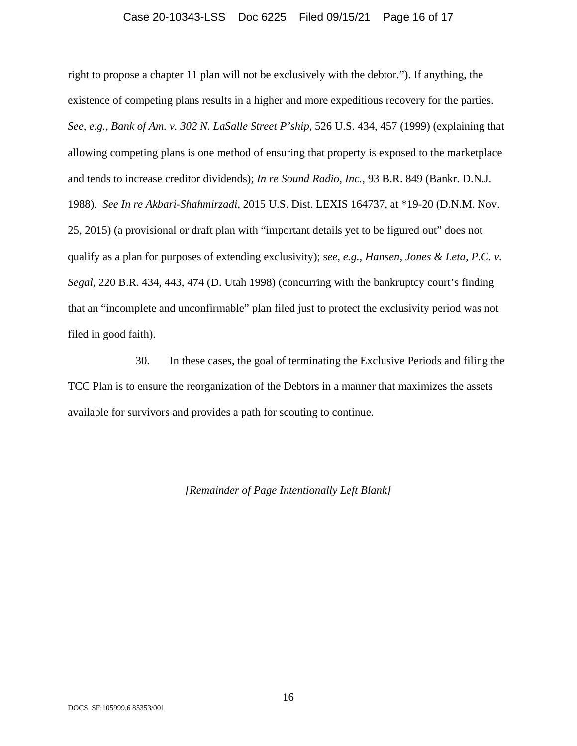#### Case 20-10343-LSS Doc 6225 Filed 09/15/21 Page 16 of 17

right to propose a chapter 11 plan will not be exclusively with the debtor."). If anything, the existence of competing plans results in a higher and more expeditious recovery for the parties. *See, e.g., Bank of Am. v. 302 N. LaSalle Street P'ship*, 526 U.S. 434, 457 (1999) (explaining that allowing competing plans is one method of ensuring that property is exposed to the marketplace and tends to increase creditor dividends); *In re Sound Radio, Inc.*, 93 B.R. 849 (Bankr. D.N.J. 1988). *See In re Akbari-Shahmirzadi*, 2015 U.S. Dist. LEXIS 164737, at \*19-20 (D.N.M. Nov. 25, 2015) (a provisional or draft plan with "important details yet to be figured out" does not qualify as a plan for purposes of extending exclusivity); s*ee, e.g., Hansen, Jones & Leta, P.C. v. Segal*, 220 B.R. 434, 443, 474 (D. Utah 1998) (concurring with the bankruptcy court's finding that an "incomplete and unconfirmable" plan filed just to protect the exclusivity period was not filed in good faith).

30. In these cases, the goal of terminating the Exclusive Periods and filing the TCC Plan is to ensure the reorganization of the Debtors in a manner that maximizes the assets available for survivors and provides a path for scouting to continue.

#### *[Remainder of Page Intentionally Left Blank]*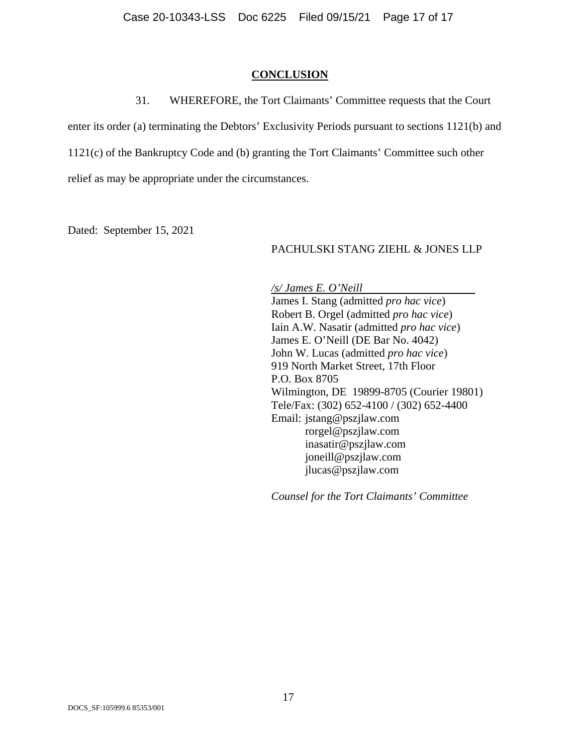#### **CONCLUSION**

31. WHEREFORE, the Tort Claimants' Committee requests that the Court

enter its order (a) terminating the Debtors' Exclusivity Periods pursuant to sections 1121(b) and

1121(c) of the Bankruptcy Code and (b) granting the Tort Claimants' Committee such other

relief as may be appropriate under the circumstances.

Dated: September 15, 2021

#### PACHULSKI STANG ZIEHL & JONES LLP

*/s/ James E. O'Neill* 

James I. Stang (admitted *pro hac vice*) Robert B. Orgel (admitted *pro hac vice*) Iain A.W. Nasatir (admitted *pro hac vice*) James E. O'Neill (DE Bar No. 4042) John W. Lucas (admitted *pro hac vice*) 919 North Market Street, 17th Floor P.O. Box 8705 Wilmington, DE 19899-8705 (Courier 19801) Tele/Fax: (302) 652-4100 / (302) 652-4400 Email: jstang@pszjlaw.com rorgel@pszjlaw.com inasatir@pszjlaw.com joneill@pszjlaw.com jlucas@pszjlaw.com

*Counsel for the Tort Claimants' Committee*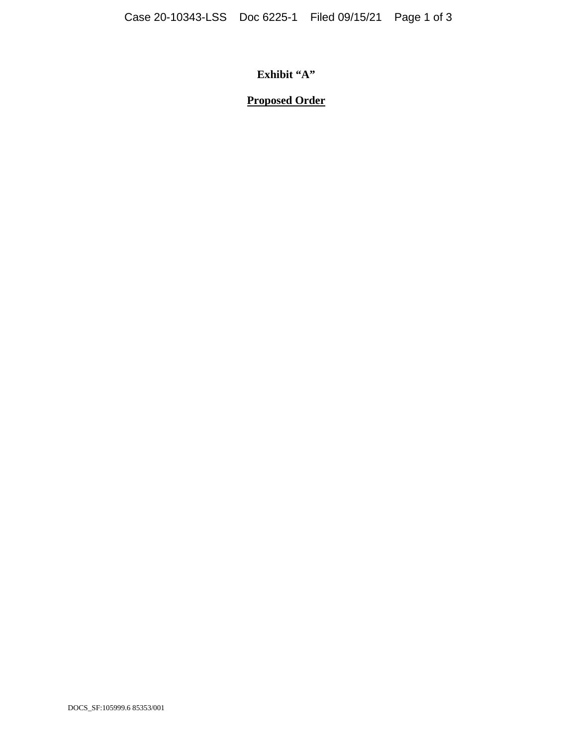**Exhibit "A"** 

# **Proposed Order**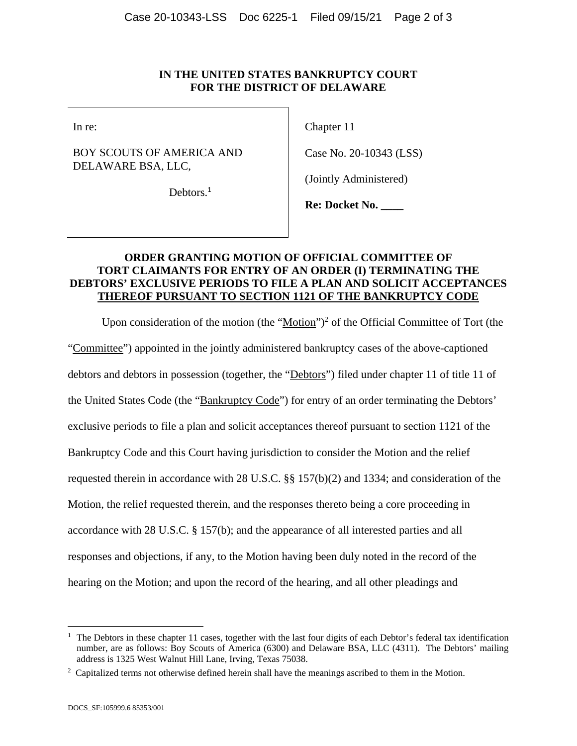#### **IN THE UNITED STATES BANKRUPTCY COURT FOR THE DISTRICT OF DELAWARE**

BOY SCOUTS OF AMERICA AND DELAWARE BSA, LLC,

In re: Chapter 11

Case No. 20-10343 (LSS)

(Jointly Administered)

Debtors.<sup>1</sup>

**Re: Docket No. \_\_\_\_** 

### **ORDER GRANTING MOTION OF OFFICIAL COMMITTEE OF TORT CLAIMANTS FOR ENTRY OF AN ORDER (I) TERMINATING THE DEBTORS' EXCLUSIVE PERIODS TO FILE A PLAN AND SOLICIT ACCEPTANCES THEREOF PURSUANT TO SECTION 1121 OF THE BANKRUPTCY CODE**

Upon consideration of the motion (the "Motion")<sup>2</sup> of the Official Committee of Tort (the "Committee") appointed in the jointly administered bankruptcy cases of the above-captioned debtors and debtors in possession (together, the "Debtors") filed under chapter 11 of title 11 of the United States Code (the "Bankruptcy Code") for entry of an order terminating the Debtors' exclusive periods to file a plan and solicit acceptances thereof pursuant to section 1121 of the Bankruptcy Code and this Court having jurisdiction to consider the Motion and the relief requested therein in accordance with 28 U.S.C. §§ 157(b)(2) and 1334; and consideration of the Motion, the relief requested therein, and the responses thereto being a core proceeding in accordance with 28 U.S.C. § 157(b); and the appearance of all interested parties and all responses and objections, if any, to the Motion having been duly noted in the record of the hearing on the Motion; and upon the record of the hearing, and all other pleadings and

<sup>1</sup> The Debtors in these chapter 11 cases, together with the last four digits of each Debtor's federal tax identification number, are as follows: Boy Scouts of America (6300) and Delaware BSA, LLC (4311). The Debtors' mailing address is 1325 West Walnut Hill Lane, Irving, Texas 75038.

<sup>&</sup>lt;sup>2</sup> Capitalized terms not otherwise defined herein shall have the meanings ascribed to them in the Motion.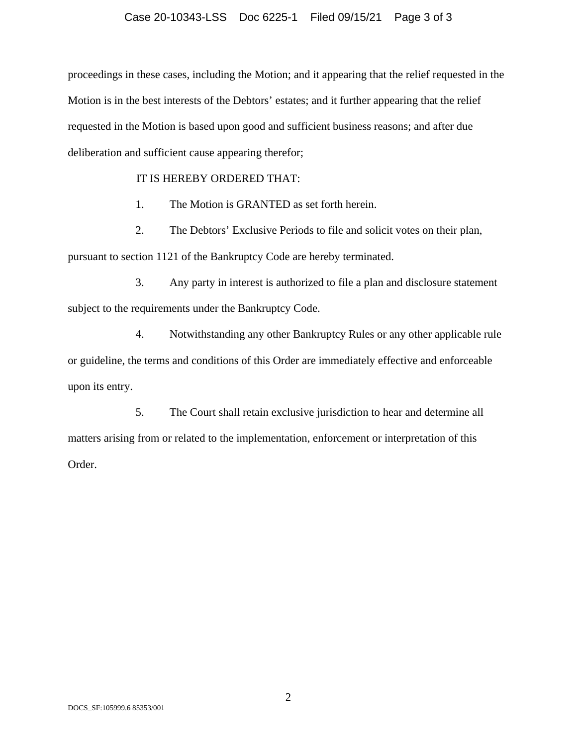#### Case 20-10343-LSS Doc 6225-1 Filed 09/15/21 Page 3 of 3

proceedings in these cases, including the Motion; and it appearing that the relief requested in the Motion is in the best interests of the Debtors' estates; and it further appearing that the relief requested in the Motion is based upon good and sufficient business reasons; and after due deliberation and sufficient cause appearing therefor;

#### IT IS HEREBY ORDERED THAT:

1. The Motion is GRANTED as set forth herein.

2. The Debtors' Exclusive Periods to file and solicit votes on their plan, pursuant to section 1121 of the Bankruptcy Code are hereby terminated.

3. Any party in interest is authorized to file a plan and disclosure statement subject to the requirements under the Bankruptcy Code.

4. Notwithstanding any other Bankruptcy Rules or any other applicable rule or guideline, the terms and conditions of this Order are immediately effective and enforceable upon its entry.

5. The Court shall retain exclusive jurisdiction to hear and determine all matters arising from or related to the implementation, enforcement or interpretation of this Order.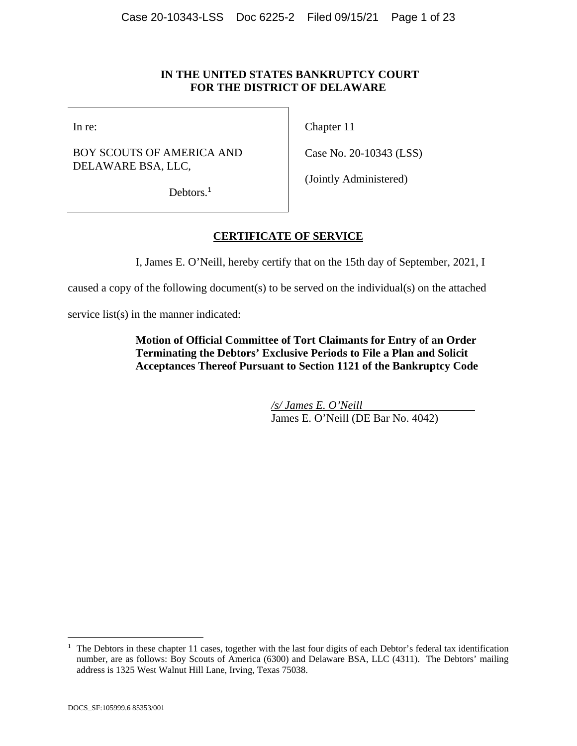#### **IN THE UNITED STATES BANKRUPTCY COURT FOR THE DISTRICT OF DELAWARE**

### BOY SCOUTS OF AMERICA AND DELAWARE BSA, LLC,

In re: Chapter 11

Case No. 20-10343 (LSS)

Debtors.<sup>1</sup>

(Jointly Administered)

## **CERTIFICATE OF SERVICE**

I, James E. O'Neill, hereby certify that on the 15th day of September, 2021, I

caused a copy of the following document(s) to be served on the individual(s) on the attached

service list(s) in the manner indicated:

**Motion of Official Committee of Tort Claimants for Entry of an Order Terminating the Debtors' Exclusive Periods to File a Plan and Solicit Acceptances Thereof Pursuant to Section 1121 of the Bankruptcy Code** 

> */s/ James E. O'Neill*  James E. O'Neill (DE Bar No. 4042)

<sup>&</sup>lt;sup>1</sup> The Debtors in these chapter 11 cases, together with the last four digits of each Debtor's federal tax identification number, are as follows: Boy Scouts of America (6300) and Delaware BSA, LLC (4311). The Debtors' mailing address is 1325 West Walnut Hill Lane, Irving, Texas 75038.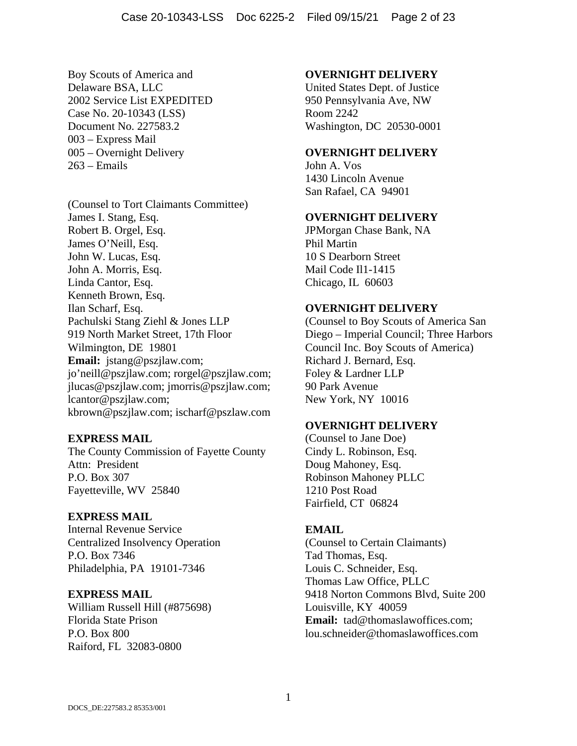Boy Scouts of America and Delaware BSA, LLC 2002 Service List EXPEDITED Case No. 20-10343 (LSS) Document No. 227583.2 003 – Express Mail 005 – Overnight Delivery 263 – Emails

(Counsel to Tort Claimants Committee) James I. Stang, Esq. Robert B. Orgel, Esq. James O'Neill, Esq. John W. Lucas, Esq. John A. Morris, Esq. Linda Cantor, Esq. Kenneth Brown, Esq. Ilan Scharf, Esq. Pachulski Stang Ziehl & Jones LLP 919 North Market Street, 17th Floor Wilmington, DE 19801 **Email:** jstang@pszjlaw.com; jo'neill@pszjlaw.com; rorgel@pszjlaw.com; jlucas@pszjlaw.com; jmorris@pszjlaw.com; lcantor@pszjlaw.com; kbrown@pszjlaw.com; ischarf@pszlaw.com

### **EXPRESS MAIL**

The County Commission of Fayette County Attn: President P.O. Box 307 Fayetteville, WV 25840

#### **EXPRESS MAIL**

Internal Revenue Service Centralized Insolvency Operation P.O. Box 7346 Philadelphia, PA 19101-7346

### **EXPRESS MAIL**

William Russell Hill (#875698) Florida State Prison P.O. Box 800 Raiford, FL 32083-0800

#### **OVERNIGHT DELIVERY**

United States Dept. of Justice 950 Pennsylvania Ave, NW Room 2242 Washington, DC 20530-0001

#### **OVERNIGHT DELIVERY**

John A. Vos 1430 Lincoln Avenue San Rafael, CA 94901

## **OVERNIGHT DELIVERY**

JPMorgan Chase Bank, NA Phil Martin 10 S Dearborn Street Mail Code Il1-1415 Chicago, IL 60603

#### **OVERNIGHT DELIVERY**

(Counsel to Boy Scouts of America San Diego – Imperial Council; Three Harbors Council Inc. Boy Scouts of America) Richard J. Bernard, Esq. Foley & Lardner LLP 90 Park Avenue New York, NY 10016

#### **OVERNIGHT DELIVERY**

(Counsel to Jane Doe) Cindy L. Robinson, Esq. Doug Mahoney, Esq. Robinson Mahoney PLLC 1210 Post Road Fairfield, CT 06824

#### **EMAIL**

(Counsel to Certain Claimants) Tad Thomas, Esq. Louis C. Schneider, Esq. Thomas Law Office, PLLC 9418 Norton Commons Blvd, Suite 200 Louisville, KY 40059 **Email:** tad@thomaslawoffices.com; lou.schneider@thomaslawoffices.com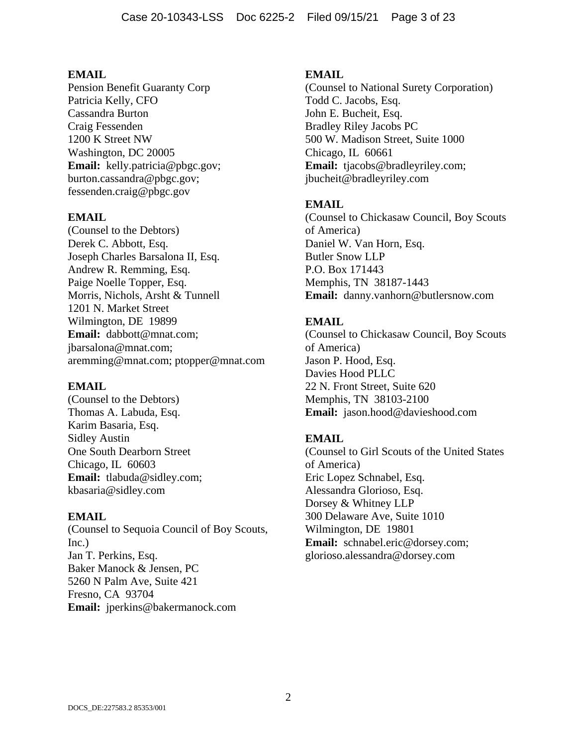Pension Benefit Guaranty Corp Patricia Kelly, CFO Cassandra Burton Craig Fessenden 1200 K Street NW Washington, DC 20005 **Email:** kelly.patricia@pbgc.gov; burton.cassandra@pbgc.gov; fessenden.craig@pbgc.gov

#### **EMAIL**

(Counsel to the Debtors) Derek C. Abbott, Esq. Joseph Charles Barsalona II, Esq. Andrew R. Remming, Esq. Paige Noelle Topper, Esq. Morris, Nichols, Arsht & Tunnell 1201 N. Market Street Wilmington, DE 19899 **Email:** dabbott@mnat.com; jbarsalona@mnat.com; aremming@mnat.com; ptopper@mnat.com

#### **EMAIL**

(Counsel to the Debtors) Thomas A. Labuda, Esq. Karim Basaria, Esq. Sidley Austin One South Dearborn Street Chicago, IL 60603 **Email:** tlabuda@sidley.com; kbasaria@sidley.com

#### **EMAIL**

(Counsel to Sequoia Council of Boy Scouts, Inc.) Jan T. Perkins, Esq. Baker Manock & Jensen, PC 5260 N Palm Ave, Suite 421 Fresno, CA 93704 **Email:** jperkins@bakermanock.com

#### **EMAIL**

(Counsel to National Surety Corporation) Todd C. Jacobs, Esq. John E. Bucheit, Esq. Bradley Riley Jacobs PC 500 W. Madison Street, Suite 1000 Chicago, IL 60661 **Email:** tjacobs@bradleyriley.com; jbucheit@bradleyriley.com

#### **EMAIL**

(Counsel to Chickasaw Council, Boy Scouts of America) Daniel W. Van Horn, Esq. Butler Snow LLP P.O. Box 171443 Memphis, TN 38187-1443 **Email:** danny.vanhorn@butlersnow.com

#### **EMAIL**

(Counsel to Chickasaw Council, Boy Scouts of America) Jason P. Hood, Esq. Davies Hood PLLC 22 N. Front Street, Suite 620 Memphis, TN 38103-2100 **Email:** jason.hood@davieshood.com

#### **EMAIL**

(Counsel to Girl Scouts of the United States of America) Eric Lopez Schnabel, Esq. Alessandra Glorioso, Esq. Dorsey & Whitney LLP 300 Delaware Ave, Suite 1010 Wilmington, DE 19801 **Email:** schnabel.eric@dorsey.com; glorioso.alessandra@dorsey.com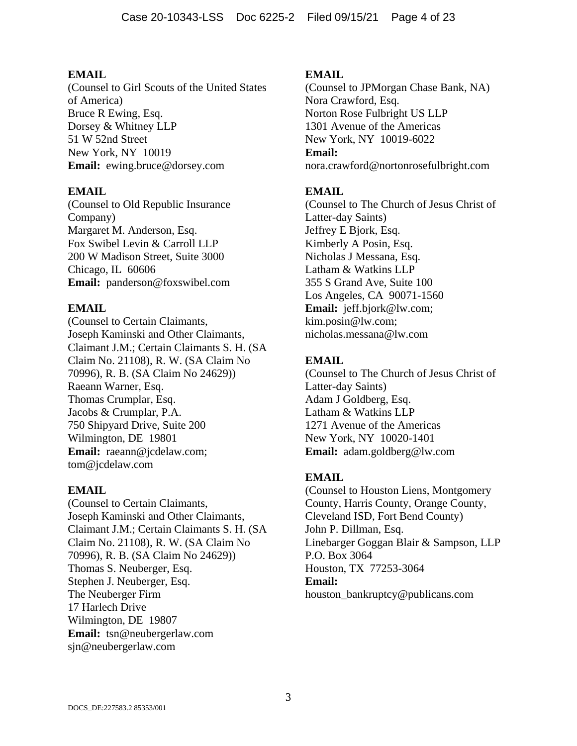(Counsel to Girl Scouts of the United States of America) Bruce R Ewing, Esq. Dorsey & Whitney LLP 51 W 52nd Street New York, NY 10019 **Email:** ewing.bruce@dorsey.com

## **EMAIL**

(Counsel to Old Republic Insurance Company) Margaret M. Anderson, Esq. Fox Swibel Levin & Carroll LLP 200 W Madison Street, Suite 3000 Chicago, IL 60606 **Email:** panderson@foxswibel.com

## **EMAIL**

(Counsel to Certain Claimants, Joseph Kaminski and Other Claimants, Claimant J.M.; Certain Claimants S. H. (SA Claim No. 21108), R. W. (SA Claim No 70996), R. B. (SA Claim No 24629)) Raeann Warner, Esq. Thomas Crumplar, Esq. Jacobs & Crumplar, P.A. 750 Shipyard Drive, Suite 200 Wilmington, DE 19801 **Email:** raeann@jcdelaw.com; tom@jcdelaw.com

### **EMAIL**

(Counsel to Certain Claimants, Joseph Kaminski and Other Claimants, Claimant J.M.; Certain Claimants S. H. (SA Claim No. 21108), R. W. (SA Claim No 70996), R. B. (SA Claim No 24629)) Thomas S. Neuberger, Esq. Stephen J. Neuberger, Esq. The Neuberger Firm 17 Harlech Drive Wilmington, DE 19807 **Email:** tsn@neubergerlaw.com sjn@neubergerlaw.com

## **EMAIL**

(Counsel to JPMorgan Chase Bank, NA) Nora Crawford, Esq. Norton Rose Fulbright US LLP 1301 Avenue of the Americas New York, NY 10019-6022 **Email:** nora.crawford@nortonrosefulbright.com

## **EMAIL**

(Counsel to The Church of Jesus Christ of Latter-day Saints) Jeffrey E Bjork, Esq. Kimberly A Posin, Esq. Nicholas J Messana, Esq. Latham & Watkins LLP 355 S Grand Ave, Suite 100 Los Angeles, CA 90071-1560 **Email:** jeff.bjork@lw.com; kim.posin@lw.com; nicholas.messana@lw.com

## **EMAIL**

(Counsel to The Church of Jesus Christ of Latter-day Saints) Adam J Goldberg, Esq. Latham & Watkins LLP 1271 Avenue of the Americas New York, NY 10020-1401 **Email:** adam.goldberg@lw.com

## **EMAIL**

(Counsel to Houston Liens, Montgomery County, Harris County, Orange County, Cleveland ISD, Fort Bend County) John P. Dillman, Esq. Linebarger Goggan Blair & Sampson, LLP P.O. Box 3064 Houston, TX 77253-3064 **Email:** houston\_bankruptcy@publicans.com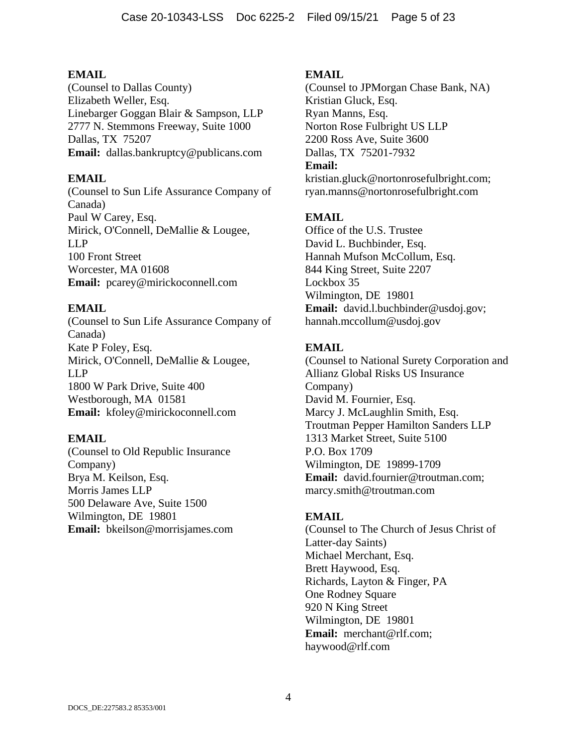(Counsel to Dallas County) Elizabeth Weller, Esq. Linebarger Goggan Blair & Sampson, LLP 2777 N. Stemmons Freeway, Suite 1000 Dallas, TX 75207 **Email:** dallas.bankruptcy@publicans.com

## **EMAIL**

(Counsel to Sun Life Assurance Company of Canada) Paul W Carey, Esq. Mirick, O'Connell, DeMallie & Lougee, LLP 100 Front Street Worcester, MA 01608 **Email:** pcarey@mirickoconnell.com

## **EMAIL**

(Counsel to Sun Life Assurance Company of Canada) Kate P Foley, Esq. Mirick, O'Connell, DeMallie & Lougee, LLP 1800 W Park Drive, Suite 400 Westborough, MA 01581 **Email:** kfoley@mirickoconnell.com

### **EMAIL**

(Counsel to Old Republic Insurance Company) Brya M. Keilson, Esq. Morris James LLP 500 Delaware Ave, Suite 1500 Wilmington, DE 19801 **Email:** bkeilson@morrisjames.com

### **EMAIL**

(Counsel to JPMorgan Chase Bank, NA) Kristian Gluck, Esq. Ryan Manns, Esq. Norton Rose Fulbright US LLP 2200 Ross Ave, Suite 3600 Dallas, TX 75201-7932 **Email:** kristian.gluck@nortonrosefulbright.com;

ryan.manns@nortonrosefulbright.com

## **EMAIL**

Office of the U.S. Trustee David L. Buchbinder, Esq. Hannah Mufson McCollum, Esq. 844 King Street, Suite 2207 Lockbox 35 Wilmington, DE 19801 **Email:** david.l.buchbinder@usdoj.gov; hannah.mccollum@usdoj.gov

## **EMAIL**

(Counsel to National Surety Corporation and Allianz Global Risks US Insurance Company) David M. Fournier, Esq. Marcy J. McLaughlin Smith, Esq. Troutman Pepper Hamilton Sanders LLP 1313 Market Street, Suite 5100 P.O. Box 1709 Wilmington, DE 19899-1709 **Email:** david.fournier@troutman.com; marcy.smith@troutman.com

### **EMAIL**

(Counsel to The Church of Jesus Christ of Latter-day Saints) Michael Merchant, Esq. Brett Haywood, Esq. Richards, Layton & Finger, PA One Rodney Square 920 N King Street Wilmington, DE 19801 **Email:** merchant@rlf.com; haywood@rlf.com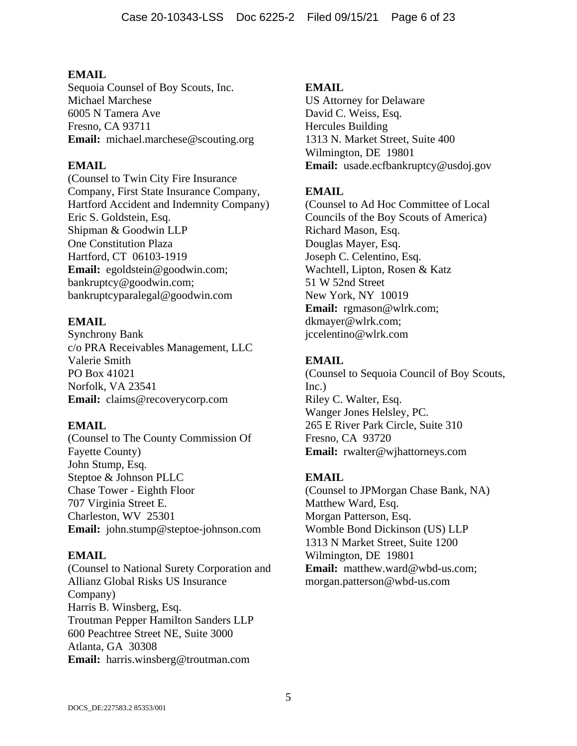Sequoia Counsel of Boy Scouts, Inc. Michael Marchese 6005 N Tamera Ave Fresno, CA 93711 **Email:** michael.marchese@scouting.org

## **EMAIL**

(Counsel to Twin City Fire Insurance Company, First State Insurance Company, Hartford Accident and Indemnity Company) Eric S. Goldstein, Esq. Shipman & Goodwin LLP One Constitution Plaza Hartford, CT 06103-1919 **Email:** egoldstein@goodwin.com; bankruptcy@goodwin.com; bankruptcyparalegal@goodwin.com

## **EMAIL**

Synchrony Bank c/o PRA Receivables Management, LLC Valerie Smith PO Box 41021 Norfolk, VA 23541 **Email:** claims@recoverycorp.com

## **EMAIL**

(Counsel to The County Commission Of Fayette County) John Stump, Esq. Steptoe & Johnson PLLC Chase Tower - Eighth Floor 707 Virginia Street E. Charleston, WV 25301 **Email:** john.stump@steptoe-johnson.com

## **EMAIL**

(Counsel to National Surety Corporation and Allianz Global Risks US Insurance Company) Harris B. Winsberg, Esq. Troutman Pepper Hamilton Sanders LLP 600 Peachtree Street NE, Suite 3000 Atlanta, GA 30308 **Email:** harris.winsberg@troutman.com

## **EMAIL**

US Attorney for Delaware David C. Weiss, Esq. Hercules Building 1313 N. Market Street, Suite 400 Wilmington, DE 19801 **Email:** usade.ecfbankruptcy@usdoj.gov

## **EMAIL**

(Counsel to Ad Hoc Committee of Local Councils of the Boy Scouts of America) Richard Mason, Esq. Douglas Mayer, Esq. Joseph C. Celentino, Esq. Wachtell, Lipton, Rosen & Katz 51 W 52nd Street New York, NY 10019 **Email:** rgmason@wlrk.com; dkmayer@wlrk.com; jccelentino@wlrk.com

## **EMAIL**

(Counsel to Sequoia Council of Boy Scouts, Inc.) Riley C. Walter, Esq. Wanger Jones Helsley, PC. 265 E River Park Circle, Suite 310 Fresno, CA 93720 **Email:** rwalter@wjhattorneys.com

## **EMAIL**

(Counsel to JPMorgan Chase Bank, NA) Matthew Ward, Esq. Morgan Patterson, Esq. Womble Bond Dickinson (US) LLP 1313 N Market Street, Suite 1200 Wilmington, DE 19801 **Email:** matthew.ward@wbd-us.com; morgan.patterson@wbd-us.com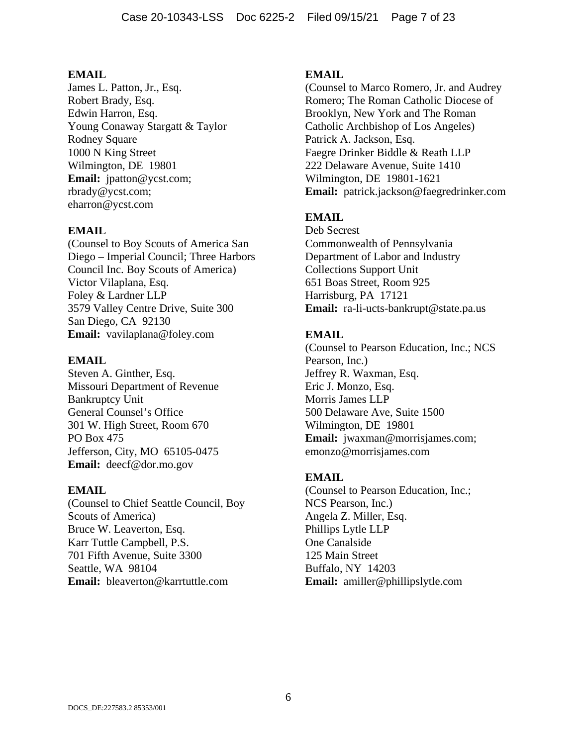James L. Patton, Jr., Esq. Robert Brady, Esq. Edwin Harron, Esq. Young Conaway Stargatt & Taylor Rodney Square 1000 N King Street Wilmington, DE 19801 **Email:** jpatton@ycst.com; rbrady@ycst.com; eharron@ycst.com

## **EMAIL**

(Counsel to Boy Scouts of America San Diego – Imperial Council; Three Harbors Council Inc. Boy Scouts of America) Victor Vilaplana, Esq. Foley & Lardner LLP 3579 Valley Centre Drive, Suite 300 San Diego, CA 92130 **Email:** vavilaplana@foley.com

#### **EMAIL**

Steven A. Ginther, Esq. Missouri Department of Revenue Bankruptcy Unit General Counsel's Office 301 W. High Street, Room 670 PO Box 475 Jefferson, City, MO 65105-0475 **Email:** deecf@dor.mo.gov

### **EMAIL**

(Counsel to Chief Seattle Council, Boy Scouts of America) Bruce W. Leaverton, Esq. Karr Tuttle Campbell, P.S. 701 Fifth Avenue, Suite 3300 Seattle, WA 98104 **Email:** bleaverton@karrtuttle.com

## **EMAIL**

(Counsel to Marco Romero, Jr. and Audrey Romero; The Roman Catholic Diocese of Brooklyn, New York and The Roman Catholic Archbishop of Los Angeles) Patrick A. Jackson, Esq. Faegre Drinker Biddle & Reath LLP 222 Delaware Avenue, Suite 1410 Wilmington, DE 19801-1621 **Email:** patrick.jackson@faegredrinker.com

## **EMAIL**

Deb Secrest Commonwealth of Pennsylvania Department of Labor and Industry Collections Support Unit 651 Boas Street, Room 925 Harrisburg, PA 17121 **Email:** ra-li-ucts-bankrupt@state.pa.us

## **EMAIL**

(Counsel to Pearson Education, Inc.; NCS Pearson, Inc.) Jeffrey R. Waxman, Esq. Eric J. Monzo, Esq. Morris James LLP 500 Delaware Ave, Suite 1500 Wilmington, DE 19801 **Email:** jwaxman@morrisjames.com; emonzo@morrisjames.com

### **EMAIL**

(Counsel to Pearson Education, Inc.; NCS Pearson, Inc.) Angela Z. Miller, Esq. Phillips Lytle LLP One Canalside 125 Main Street Buffalo, NY 14203 **Email:** amiller@phillipslytle.com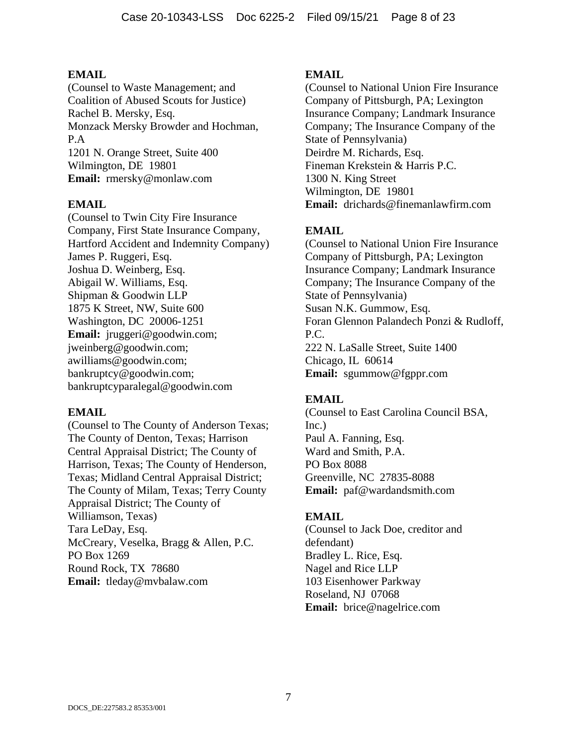(Counsel to Waste Management; and Coalition of Abused Scouts for Justice) Rachel B. Mersky, Esq. Monzack Mersky Browder and Hochman, P.A 1201 N. Orange Street, Suite 400 Wilmington, DE 19801 **Email:** rmersky@monlaw.com

### **EMAIL**

(Counsel to Twin City Fire Insurance Company, First State Insurance Company, Hartford Accident and Indemnity Company) James P. Ruggeri, Esq. Joshua D. Weinberg, Esq. Abigail W. Williams, Esq. Shipman & Goodwin LLP 1875 K Street, NW, Suite 600 Washington, DC 20006-1251 **Email:** jruggeri@goodwin.com; jweinberg@goodwin.com; awilliams@goodwin.com; bankruptcy@goodwin.com; bankruptcyparalegal@goodwin.com

### **EMAIL**

(Counsel to The County of Anderson Texas; The County of Denton, Texas; Harrison Central Appraisal District; The County of Harrison, Texas; The County of Henderson, Texas; Midland Central Appraisal District; The County of Milam, Texas; Terry County Appraisal District; The County of Williamson, Texas) Tara LeDay, Esq. McCreary, Veselka, Bragg & Allen, P.C. PO Box 1269 Round Rock, TX 78680 **Email:** tleday@mvbalaw.com

### **EMAIL**

(Counsel to National Union Fire Insurance Company of Pittsburgh, PA; Lexington Insurance Company; Landmark Insurance Company; The Insurance Company of the State of Pennsylvania) Deirdre M. Richards, Esq. Fineman Krekstein & Harris P.C. 1300 N. King Street Wilmington, DE 19801 **Email:** drichards@finemanlawfirm.com

## **EMAIL**

(Counsel to National Union Fire Insurance Company of Pittsburgh, PA; Lexington Insurance Company; Landmark Insurance Company; The Insurance Company of the State of Pennsylvania) Susan N.K. Gummow, Esq. Foran Glennon Palandech Ponzi & Rudloff, P.C. 222 N. LaSalle Street, Suite 1400 Chicago, IL 60614 **Email:** sgummow@fgppr.com

## **EMAIL**

(Counsel to East Carolina Council BSA, Inc.) Paul A. Fanning, Esq. Ward and Smith, P.A. PO Box 8088 Greenville, NC 27835-8088 **Email:** paf@wardandsmith.com

### **EMAIL**

(Counsel to Jack Doe, creditor and defendant) Bradley L. Rice, Esq. Nagel and Rice LLP 103 Eisenhower Parkway Roseland, NJ 07068 **Email:** brice@nagelrice.com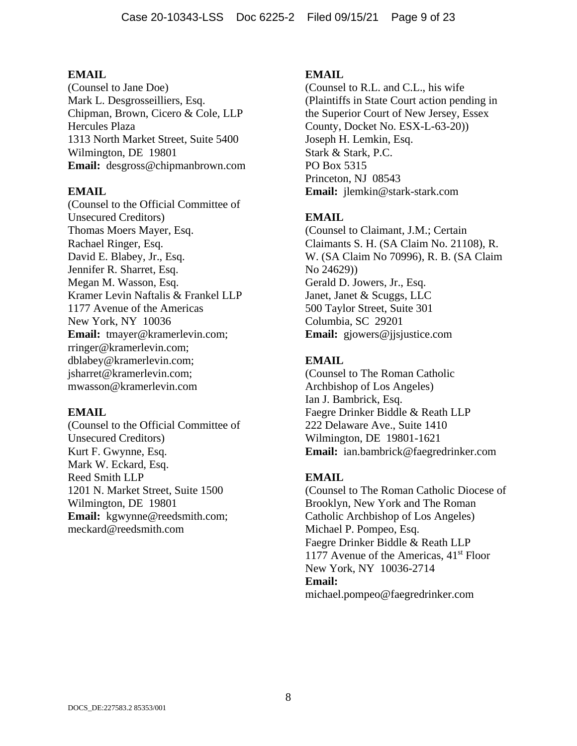(Counsel to Jane Doe) Mark L. Desgrosseilliers, Esq. Chipman, Brown, Cicero & Cole, LLP Hercules Plaza 1313 North Market Street, Suite 5400 Wilmington, DE 19801 **Email:** desgross@chipmanbrown.com

#### **EMAIL**

(Counsel to the Official Committee of Unsecured Creditors) Thomas Moers Mayer, Esq. Rachael Ringer, Esq. David E. Blabey, Jr., Esq. Jennifer R. Sharret, Esq. Megan M. Wasson, Esq. Kramer Levin Naftalis & Frankel LLP 1177 Avenue of the Americas New York, NY 10036 **Email:** tmayer@kramerlevin.com; rringer@kramerlevin.com; dblabey@kramerlevin.com; jsharret@kramerlevin.com; mwasson@kramerlevin.com

#### **EMAIL**

(Counsel to the Official Committee of Unsecured Creditors) Kurt F. Gwynne, Esq. Mark W. Eckard, Esq. Reed Smith LLP 1201 N. Market Street, Suite 1500 Wilmington, DE 19801 **Email:** kgwynne@reedsmith.com; meckard@reedsmith.com

#### **EMAIL**

(Counsel to R.L. and C.L., his wife (Plaintiffs in State Court action pending in the Superior Court of New Jersey, Essex County, Docket No. ESX-L-63-20)) Joseph H. Lemkin, Esq. Stark & Stark, P.C. PO Box 5315 Princeton, NJ 08543 **Email:** jlemkin@stark-stark.com

## **EMAIL**

(Counsel to Claimant, J.M.; Certain Claimants S. H. (SA Claim No. 21108), R. W. (SA Claim No 70996), R. B. (SA Claim No 24629)) Gerald D. Jowers, Jr., Esq. Janet, Janet & Scuggs, LLC 500 Taylor Street, Suite 301 Columbia, SC 29201 **Email:** gjowers@jjsjustice.com

### **EMAIL**

(Counsel to The Roman Catholic Archbishop of Los Angeles) Ian J. Bambrick, Esq. Faegre Drinker Biddle & Reath LLP 222 Delaware Ave., Suite 1410 Wilmington, DE 19801-1621 **Email:** ian.bambrick@faegredrinker.com

### **EMAIL**

(Counsel to The Roman Catholic Diocese of Brooklyn, New York and The Roman Catholic Archbishop of Los Angeles) Michael P. Pompeo, Esq. Faegre Drinker Biddle & Reath LLP 1177 Avenue of the Americas,  $41<sup>st</sup>$  Floor New York, NY 10036-2714 **Email:** michael.pompeo@faegredrinker.com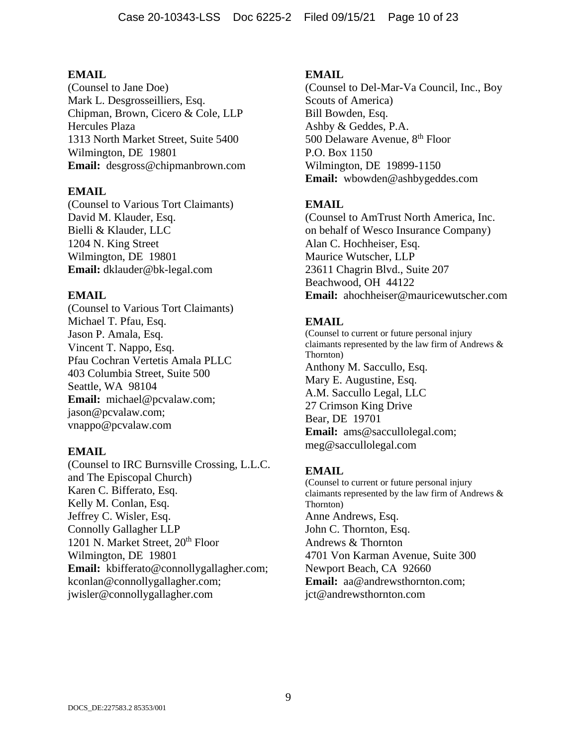(Counsel to Jane Doe) Mark L. Desgrosseilliers, Esq. Chipman, Brown, Cicero & Cole, LLP Hercules Plaza 1313 North Market Street, Suite 5400 Wilmington, DE 19801 **Email:** desgross@chipmanbrown.com

#### **EMAIL**

(Counsel to Various Tort Claimants) David M. Klauder, Esq. Bielli & Klauder, LLC 1204 N. King Street Wilmington, DE 19801 **Email:** dklauder@bk-legal.com

#### **EMAIL**

(Counsel to Various Tort Claimants) Michael T. Pfau, Esq. Jason P. Amala, Esq. Vincent T. Nappo, Esq. Pfau Cochran Vertetis Amala PLLC 403 Columbia Street, Suite 500 Seattle, WA 98104 **Email:** michael@pcvalaw.com; jason@pcvalaw.com; vnappo@pcvalaw.com

### **EMAIL**

(Counsel to IRC Burnsville Crossing, L.L.C. and The Episcopal Church) Karen C. Bifferato, Esq. Kelly M. Conlan, Esq. Jeffrey C. Wisler, Esq. Connolly Gallagher LLP 1201 N. Market Street, 20<sup>th</sup> Floor Wilmington, DE 19801 **Email:** kbifferato@connollygallagher.com; kconlan@connollygallagher.com; jwisler@connollygallagher.com

#### **EMAIL**

(Counsel to Del-Mar-Va Council, Inc., Boy Scouts of America) Bill Bowden, Esq. Ashby & Geddes, P.A. 500 Delaware Avenue, 8<sup>th</sup> Floor P.O. Box 1150 Wilmington, DE 19899-1150 **Email:** wbowden@ashbygeddes.com

## **EMAIL**

(Counsel to AmTrust North America, Inc. on behalf of Wesco Insurance Company) Alan C. Hochheiser, Esq. Maurice Wutscher, LLP 23611 Chagrin Blvd., Suite 207 Beachwood, OH 44122 **Email:** ahochheiser@mauricewutscher.com

## **EMAIL**

(Counsel to current or future personal injury claimants represented by the law firm of Andrews & Thornton) Anthony M. Saccullo, Esq. Mary E. Augustine, Esq. A.M. Saccullo Legal, LLC 27 Crimson King Drive Bear, DE 19701 **Email:** ams@saccullolegal.com; meg@saccullolegal.com

### **EMAIL**

(Counsel to current or future personal injury claimants represented by the law firm of Andrews & Thornton) Anne Andrews, Esq. John C. Thornton, Esq. Andrews & Thornton 4701 Von Karman Avenue, Suite 300 Newport Beach, CA 92660 **Email:** aa@andrewsthornton.com; jct@andrewsthornton.com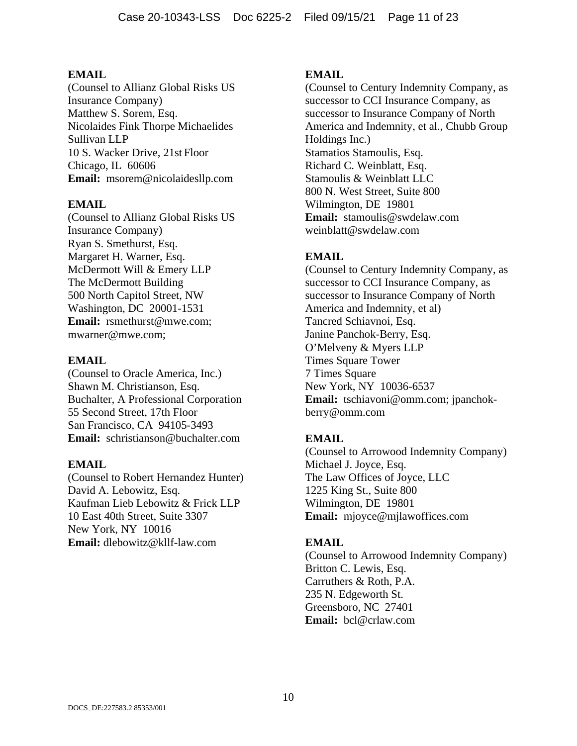(Counsel to Allianz Global Risks US Insurance Company) Matthew S. Sorem, Esq. Nicolaides Fink Thorpe Michaelides Sullivan LLP 10 S. Wacker Drive, 21st Floor Chicago, IL 60606 **Email:** msorem@nicolaidesllp.com

### **EMAIL**

(Counsel to Allianz Global Risks US Insurance Company) Ryan S. Smethurst, Esq. Margaret H. Warner, Esq. McDermott Will & Emery LLP The McDermott Building 500 North Capitol Street, NW Washington, DC 20001-1531 **Email:** rsmethurst@mwe.com; mwarner@mwe.com;

#### **EMAIL**

(Counsel to Oracle America, Inc.) Shawn M. Christianson, Esq. Buchalter, A Professional Corporation 55 Second Street, 17th Floor San Francisco, CA 94105-3493 **Email:** schristianson@buchalter.com

### **EMAIL**

(Counsel to Robert Hernandez Hunter) David A. Lebowitz, Esq. Kaufman Lieb Lebowitz & Frick LLP 10 East 40th Street, Suite 3307 New York, NY 10016 **Email:** dlebowitz@kllf-law.com

## **EMAIL**

(Counsel to Century Indemnity Company, as successor to CCI Insurance Company, as successor to Insurance Company of North America and Indemnity, et al., Chubb Group Holdings Inc.) Stamatios Stamoulis, Esq. Richard C. Weinblatt, Esq. Stamoulis & Weinblatt LLC 800 N. West Street, Suite 800 Wilmington, DE 19801 **Email:** stamoulis@swdelaw.com weinblatt@swdelaw.com

## **EMAIL**

(Counsel to Century Indemnity Company, as successor to CCI Insurance Company, as successor to Insurance Company of North America and Indemnity, et al) Tancred Schiavnoi, Esq. Janine Panchok-Berry, Esq. O'Melveny & Myers LLP Times Square Tower 7 Times Square New York, NY 10036-6537 **Email:** tschiavoni@omm.com; jpanchokberry@omm.com

## **EMAIL**

(Counsel to Arrowood Indemnity Company) Michael J. Joyce, Esq. The Law Offices of Joyce, LLC 1225 King St., Suite 800 Wilmington, DE 19801 **Email:** mjoyce@mjlawoffices.com

### **EMAIL**

(Counsel to Arrowood Indemnity Company) Britton C. Lewis, Esq. Carruthers & Roth, P.A. 235 N. Edgeworth St. Greensboro, NC 27401 **Email:** bcl@crlaw.com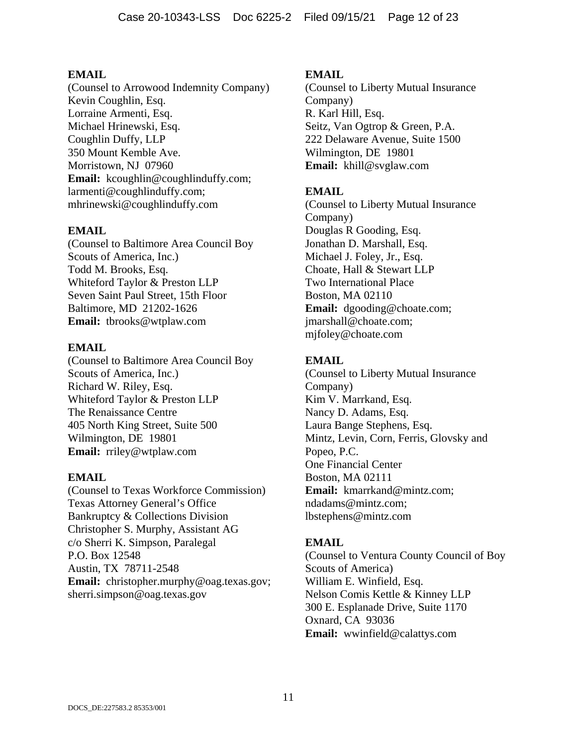(Counsel to Arrowood Indemnity Company) Kevin Coughlin, Esq. Lorraine Armenti, Esq. Michael Hrinewski, Esq. Coughlin Duffy, LLP 350 Mount Kemble Ave. Morristown, NJ 07960 Email: kcoughlin@coughlinduffy.com; larmenti@coughlinduffy.com; mhrinewski@coughlinduffy.com

## **EMAIL**

(Counsel to Baltimore Area Council Boy Scouts of America, Inc.) Todd M. Brooks, Esq. Whiteford Taylor & Preston LLP Seven Saint Paul Street, 15th Floor Baltimore, MD 21202-1626 **Email:** tbrooks@wtplaw.com

## **EMAIL**

(Counsel to Baltimore Area Council Boy Scouts of America, Inc.) Richard W. Riley, Esq. Whiteford Taylor & Preston LLP The Renaissance Centre 405 North King Street, Suite 500 Wilmington, DE 19801 **Email:** rriley@wtplaw.com

### **EMAIL**

(Counsel to Texas Workforce Commission) Texas Attorney General's Office Bankruptcy & Collections Division Christopher S. Murphy, Assistant AG c/o Sherri K. Simpson, Paralegal P.O. Box 12548 Austin, TX 78711-2548 **Email:** christopher.murphy@oag.texas.gov; sherri.simpson@oag.texas.gov

## **EMAIL**

(Counsel to Liberty Mutual Insurance Company) R. Karl Hill, Esq. Seitz, Van Ogtrop & Green, P.A. 222 Delaware Avenue, Suite 1500 Wilmington, DE 19801 **Email:** khill@svglaw.com

## **EMAIL**

(Counsel to Liberty Mutual Insurance Company) Douglas R Gooding, Esq. Jonathan D. Marshall, Esq. Michael J. Foley, Jr., Esq. Choate, Hall & Stewart LLP Two International Place Boston, MA 02110 **Email:** dgooding@choate.com; jmarshall@choate.com; mjfoley@choate.com

## **EMAIL**

(Counsel to Liberty Mutual Insurance Company) Kim V. Marrkand, Esq. Nancy D. Adams, Esq. Laura Bange Stephens, Esq. Mintz, Levin, Corn, Ferris, Glovsky and Popeo, P.C. One Financial Center Boston, MA 02111 **Email:** kmarrkand@mintz.com; ndadams@mintz.com; lbstephens@mintz.com

## **EMAIL**

(Counsel to Ventura County Council of Boy Scouts of America) William E. Winfield, Esq. Nelson Comis Kettle & Kinney LLP 300 E. Esplanade Drive, Suite 1170 Oxnard, CA 93036 **Email:** wwinfield@calattys.com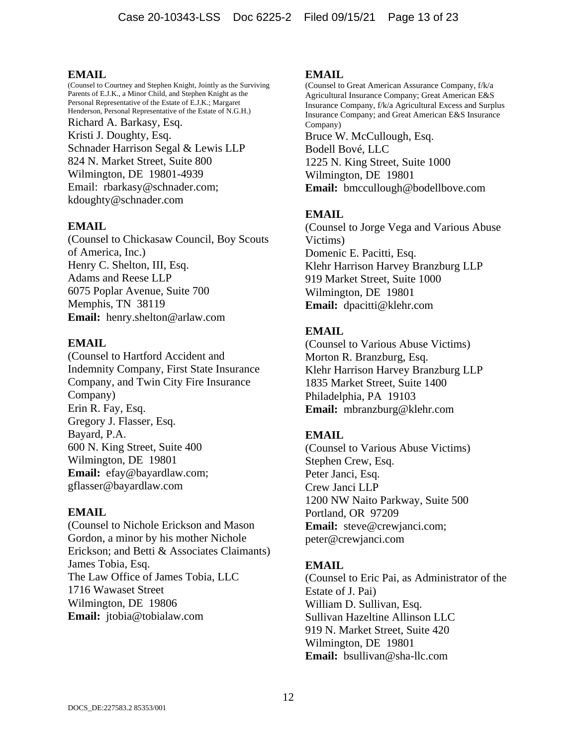(Counsel to Courtney and Stephen Knight, Jointly as the Surviving Parents of E.J.K., a Minor Child, and Stephen Knight as the Personal Representative of the Estate of E.J.K.; Margaret Henderson, Personal Representative of the Estate of N.G.H.) Richard A. Barkasy, Esq. Kristi J. Doughty, Esq. Schnader Harrison Segal & Lewis LLP 824 N. Market Street, Suite 800 Wilmington, DE 19801-4939 Email: rbarkasy@schnader.com; kdoughty@schnader.com

### **EMAIL**

(Counsel to Chickasaw Council, Boy Scouts of America, Inc.) Henry C. Shelton, III, Esq. Adams and Reese LLP 6075 Poplar Avenue, Suite 700 Memphis, TN 38119 **Email:** henry.shelton@arlaw.com

#### **EMAIL**

(Counsel to Hartford Accident and Indemnity Company, First State Insurance Company, and Twin City Fire Insurance Company) Erin R. Fay, Esq. Gregory J. Flasser, Esq. Bayard, P.A. 600 N. King Street, Suite 400 Wilmington, DE 19801 **Email:** efay@bayardlaw.com; gflasser@bayardlaw.com

### **EMAIL**

(Counsel to Nichole Erickson and Mason Gordon, a minor by his mother Nichole Erickson; and Betti & Associates Claimants) James Tobia, Esq. The Law Office of James Tobia, LLC 1716 Wawaset Street Wilmington, DE 19806 **Email:** jtobia@tobialaw.com

#### **EMAIL**

(Counsel to Great American Assurance Company, f/k/a Agricultural Insurance Company; Great American E&S Insurance Company, f/k/a Agricultural Excess and Surplus Insurance Company; and Great American E&S Insurance Company) Bruce W. McCullough, Esq. Bodell Bové, LLC 1225 N. King Street, Suite 1000 Wilmington, DE 19801 **Email:** bmccullough@bodellbove.com

## **EMAIL**

(Counsel to Jorge Vega and Various Abuse Victims) Domenic E. Pacitti, Esq. Klehr Harrison Harvey Branzburg LLP 919 Market Street, Suite 1000 Wilmington, DE 19801 **Email:** dpacitti@klehr.com

## **EMAIL**

(Counsel to Various Abuse Victims) Morton R. Branzburg, Esq. Klehr Harrison Harvey Branzburg LLP 1835 Market Street, Suite 1400 Philadelphia, PA 19103 **Email:** mbranzburg@klehr.com

## **EMAIL**

(Counsel to Various Abuse Victims) Stephen Crew, Esq. Peter Janci, Esq. Crew Janci LLP 1200 NW Naito Parkway, Suite 500 Portland, OR 97209 **Email:** steve@crewjanci.com; peter@crewjanci.com

### **EMAIL**

(Counsel to Eric Pai, as Administrator of the Estate of J. Pai) William D. Sullivan, Esq. Sullivan Hazeltine Allinson LLC 919 N. Market Street, Suite 420 Wilmington, DE 19801 **Email:** bsullivan@sha-llc.com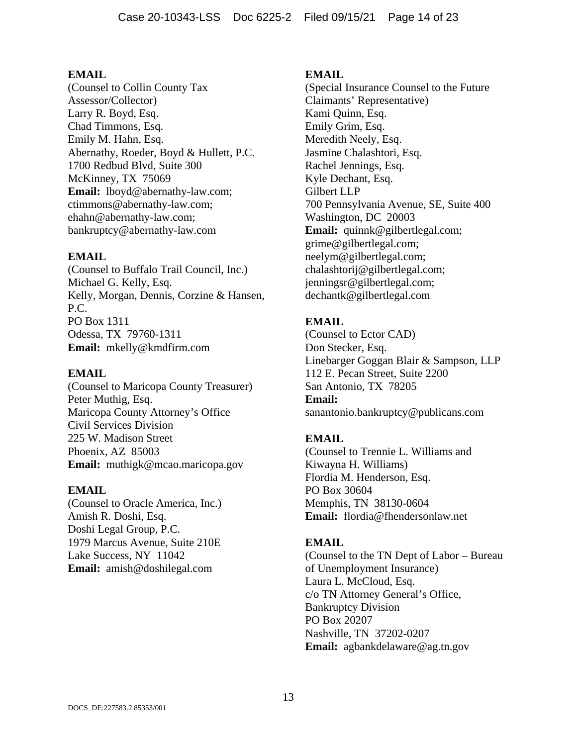(Counsel to Collin County Tax Assessor/Collector) Larry R. Boyd, Esq. Chad Timmons, Esq. Emily M. Hahn, Esq. Abernathy, Roeder, Boyd & Hullett, P.C. 1700 Redbud Blvd, Suite 300 McKinney, TX 75069 **Email:** lboyd@abernathy-law.com; ctimmons@abernathy-law.com; ehahn@abernathy-law.com; bankruptcy@abernathy-law.com

### **EMAIL**

(Counsel to Buffalo Trail Council, Inc.) Michael G. Kelly, Esq. Kelly, Morgan, Dennis, Corzine & Hansen, P.C. PO Box 1311 Odessa, TX 79760-1311 **Email:** mkelly@kmdfirm.com

## **EMAIL**

(Counsel to Maricopa County Treasurer) Peter Muthig, Esq. Maricopa County Attorney's Office Civil Services Division 225 W. Madison Street Phoenix, AZ 85003 **Email:** muthigk@mcao.maricopa.gov

### **EMAIL**

(Counsel to Oracle America, Inc.) Amish R. Doshi, Esq. Doshi Legal Group, P.C. 1979 Marcus Avenue, Suite 210E Lake Success, NY 11042 **Email:** amish@doshilegal.com

### **EMAIL**

(Special Insurance Counsel to the Future Claimants' Representative) Kami Quinn, Esq. Emily Grim, Esq. Meredith Neely, Esq. Jasmine Chalashtori, Esq. Rachel Jennings, Esq. Kyle Dechant, Esq. Gilbert LLP 700 Pennsylvania Avenue, SE, Suite 400 Washington, DC 20003 **Email:** quinnk@gilbertlegal.com; grime@gilbertlegal.com; neelym@gilbertlegal.com; chalashtorij@gilbertlegal.com; jenningsr@gilbertlegal.com; dechantk@gilbertlegal.com

## **EMAIL**

(Counsel to Ector CAD) Don Stecker, Esq. Linebarger Goggan Blair & Sampson, LLP 112 E. Pecan Street, Suite 2200 San Antonio, TX 78205 **Email:** sanantonio.bankruptcy@publicans.com

## **EMAIL**

(Counsel to Trennie L. Williams and Kiwayna H. Williams) Flordia M. Henderson, Esq. PO Box 30604 Memphis, TN 38130-0604 **Email:** flordia@fhendersonlaw.net

## **EMAIL**

(Counsel to the TN Dept of Labor – Bureau of Unemployment Insurance) Laura L. McCloud, Esq. c/o TN Attorney General's Office, Bankruptcy Division PO Box 20207 Nashville, TN 37202-0207 **Email:** agbankdelaware@ag.tn.gov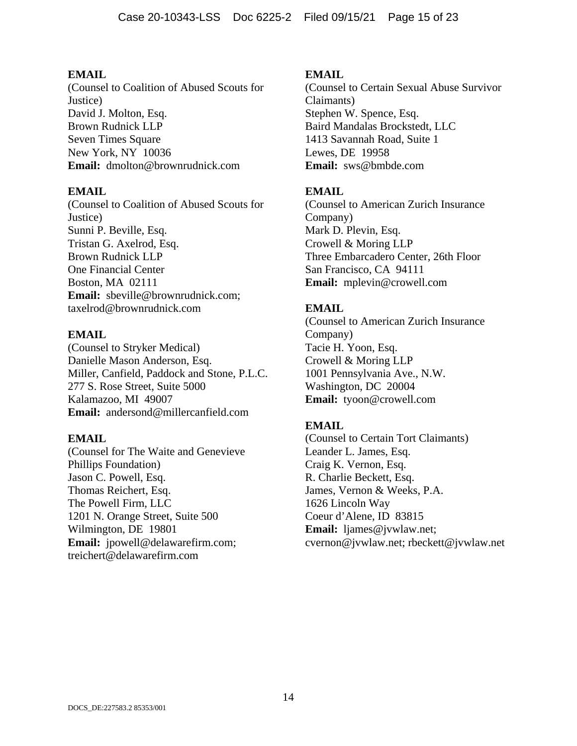(Counsel to Coalition of Abused Scouts for Justice) David J. Molton, Esq. Brown Rudnick LLP Seven Times Square New York, NY 10036 **Email:** dmolton@brownrudnick.com

## **EMAIL**

(Counsel to Coalition of Abused Scouts for Justice) Sunni P. Beville, Esq. Tristan G. Axelrod, Esq. Brown Rudnick LLP One Financial Center Boston, MA 02111 **Email:** sbeville@brownrudnick.com; taxelrod@brownrudnick.com

## **EMAIL**

(Counsel to Stryker Medical) Danielle Mason Anderson, Esq. Miller, Canfield, Paddock and Stone, P.L.C. 277 S. Rose Street, Suite 5000 Kalamazoo, MI 49007 **Email:** andersond@millercanfield.com

### **EMAIL**

(Counsel for The Waite and Genevieve Phillips Foundation) Jason C. Powell, Esq. Thomas Reichert, Esq. The Powell Firm, LLC 1201 N. Orange Street, Suite 500 Wilmington, DE 19801 **Email:** jpowell@delawarefirm.com; treichert@delawarefirm.com

## **EMAIL**

(Counsel to Certain Sexual Abuse Survivor Claimants) Stephen W. Spence, Esq. Baird Mandalas Brockstedt, LLC 1413 Savannah Road, Suite 1 Lewes, DE 19958 **Email:** sws@bmbde.com

## **EMAIL**

(Counsel to American Zurich Insurance Company) Mark D. Plevin, Esq. Crowell & Moring LLP Three Embarcadero Center, 26th Floor San Francisco, CA 94111 **Email:** mplevin@crowell.com

## **EMAIL**

(Counsel to American Zurich Insurance Company) Tacie H. Yoon, Esq. Crowell & Moring LLP 1001 Pennsylvania Ave., N.W. Washington, DC 20004 **Email:** tyoon@crowell.com

## **EMAIL**

(Counsel to Certain Tort Claimants) Leander L. James, Esq. Craig K. Vernon, Esq. R. Charlie Beckett, Esq. James, Vernon & Weeks, P.A. 1626 Lincoln Way Coeur d'Alene, ID 83815 **Email:** ljames@jvwlaw.net; cvernon@jvwlaw.net; rbeckett@jvwlaw.net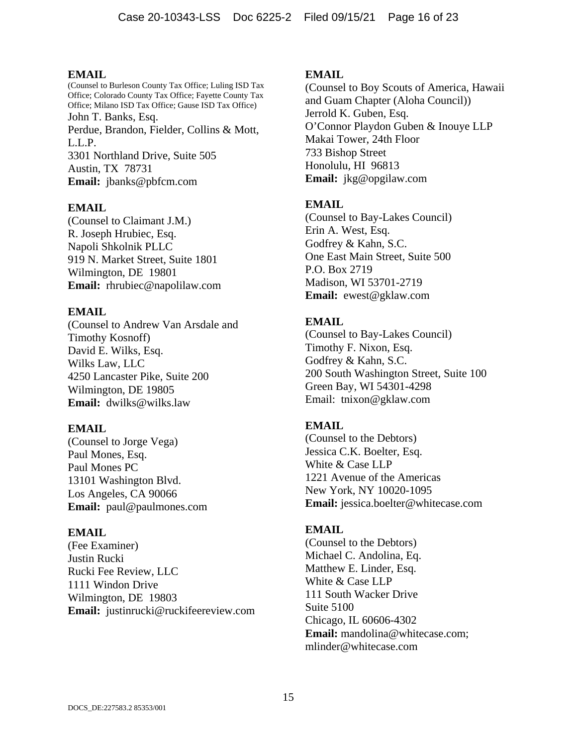(Counsel to Burleson County Tax Office; Luling ISD Tax Office; Colorado County Tax Office; Fayette County Tax Office; Milano ISD Tax Office; Gause ISD Tax Office) John T. Banks, Esq. Perdue, Brandon, Fielder, Collins & Mott, L.L.P. 3301 Northland Drive, Suite 505 Austin, TX 78731 **Email:** jbanks@pbfcm.com

## **EMAIL**

(Counsel to Claimant J.M.) R. Joseph Hrubiec, Esq. Napoli Shkolnik PLLC 919 N. Market Street, Suite 1801 Wilmington, DE 19801 **Email:** rhrubiec@napolilaw.com

## **EMAIL**

(Counsel to Andrew Van Arsdale and Timothy Kosnoff) David E. Wilks, Esq. Wilks Law, LLC 4250 Lancaster Pike, Suite 200 Wilmington, DE 19805 **Email:** dwilks@wilks.law

## **EMAIL**

(Counsel to Jorge Vega) Paul Mones, Esq. Paul Mones PC 13101 Washington Blvd. Los Angeles, CA 90066 **Email:** paul@paulmones.com

### **EMAIL**

(Fee Examiner) Justin Rucki Rucki Fee Review, LLC 1111 Windon Drive Wilmington, DE 19803 **Email:** justinrucki@ruckifeereview.com

## **EMAIL**

(Counsel to Boy Scouts of America, Hawaii and Guam Chapter (Aloha Council)) Jerrold K. Guben, Esq. O'Connor Playdon Guben & Inouye LLP Makai Tower, 24th Floor 733 Bishop Street Honolulu, HI 96813 **Email:** jkg@opgilaw.com

## **EMAIL**

(Counsel to Bay-Lakes Council) Erin A. West, Esq. Godfrey & Kahn, S.C. One East Main Street, Suite 500 P.O. Box 2719 Madison, WI 53701-2719 **Email:** ewest@gklaw.com

## **EMAIL**

(Counsel to Bay-Lakes Council) Timothy F. Nixon, Esq. Godfrey & Kahn, S.C. 200 South Washington Street, Suite 100 Green Bay, WI 54301-4298 Email: tnixon@gklaw.com

## **EMAIL**

(Counsel to the Debtors) Jessica C.K. Boelter, Esq. White & Case LLP 1221 Avenue of the Americas New York, NY 10020-1095 **Email:** jessica.boelter@whitecase.com

### **EMAIL**

(Counsel to the Debtors) Michael C. Andolina, Eq. Matthew E. Linder, Esq. White & Case LLP 111 South Wacker Drive Suite 5100 Chicago, IL 60606-4302 **Email:** mandolina@whitecase.com; mlinder@whitecase.com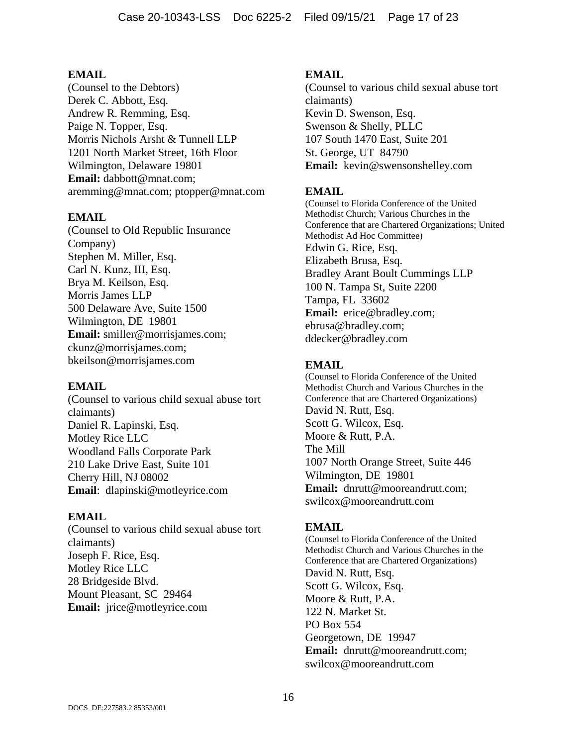(Counsel to the Debtors) Derek C. Abbott, Esq. Andrew R. Remming, Esq. Paige N. Topper, Esq. Morris Nichols Arsht & Tunnell LLP 1201 North Market Street, 16th Floor Wilmington, Delaware 19801 **Email:** dabbott@mnat.com; aremming@mnat.com; ptopper@mnat.com

## **EMAIL**

(Counsel to Old Republic Insurance Company) Stephen M. Miller, Esq. Carl N. Kunz, III, Esq. Brya M. Keilson, Esq. Morris James LLP 500 Delaware Ave, Suite 1500 Wilmington, DE 19801 **Email:** smiller@morrisjames.com; ckunz@morrisjames.com; bkeilson@morrisjames.com

### **EMAIL**

(Counsel to various child sexual abuse tort claimants) Daniel R. Lapinski, Esq. Motley Rice LLC Woodland Falls Corporate Park 210 Lake Drive East, Suite 101 Cherry Hill, NJ 08002 **Email**: dlapinski@motleyrice.com

### **EMAIL**

(Counsel to various child sexual abuse tort claimants) Joseph F. Rice, Esq. Motley Rice LLC 28 Bridgeside Blvd. Mount Pleasant, SC 29464 **Email:** jrice@motleyrice.com

## **EMAIL**

(Counsel to various child sexual abuse tort claimants) Kevin D. Swenson, Esq. Swenson & Shelly, PLLC 107 South 1470 East, Suite 201 St. George, UT 84790 **Email:** kevin@swensonshelley.com

## **EMAIL**

(Counsel to Florida Conference of the United Methodist Church; Various Churches in the Conference that are Chartered Organizations; United Methodist Ad Hoc Committee) Edwin G. Rice, Esq. Elizabeth Brusa, Esq. Bradley Arant Boult Cummings LLP 100 N. Tampa St, Suite 2200 Tampa, FL 33602 **Email:** erice@bradley.com; ebrusa@bradley.com; ddecker@bradley.com

## **EMAIL**

(Counsel to Florida Conference of the United Methodist Church and Various Churches in the Conference that are Chartered Organizations) David N. Rutt, Esq. Scott G. Wilcox, Esq. Moore & Rutt, P.A. The Mill 1007 North Orange Street, Suite 446 Wilmington, DE 19801 **Email:** dnrutt@mooreandrutt.com; swilcox@mooreandrutt.com

### **EMAIL**

(Counsel to Florida Conference of the United Methodist Church and Various Churches in the Conference that are Chartered Organizations) David N. Rutt, Esq. Scott G. Wilcox, Esq. Moore & Rutt, P.A. 122 N. Market St. PO Box 554 Georgetown, DE 19947 **Email:** dnrutt@mooreandrutt.com; swilcox@mooreandrutt.com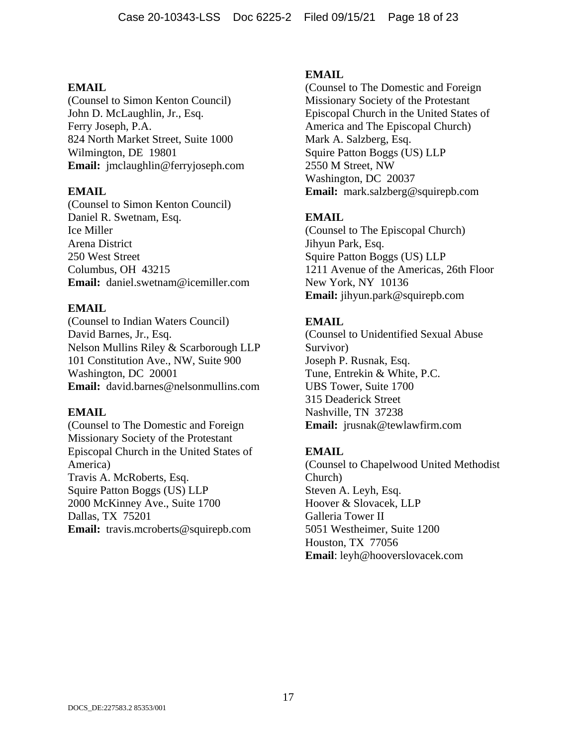(Counsel to Simon Kenton Council) John D. McLaughlin, Jr., Esq. Ferry Joseph, P.A. 824 North Market Street, Suite 1000 Wilmington, DE 19801 **Email:** jmclaughlin@ferryjoseph.com

### **EMAIL**

(Counsel to Simon Kenton Council) Daniel R. Swetnam, Esq. Ice Miller Arena District 250 West Street Columbus, OH 43215 **Email:** daniel.swetnam@icemiller.com

## **EMAIL**

(Counsel to Indian Waters Council) David Barnes, Jr., Esq. Nelson Mullins Riley & Scarborough LLP 101 Constitution Ave., NW, Suite 900 Washington, DC 20001 **Email:** david.barnes@nelsonmullins.com

### **EMAIL**

(Counsel to The Domestic and Foreign Missionary Society of the Protestant Episcopal Church in the United States of America) Travis A. McRoberts, Esq. Squire Patton Boggs (US) LLP 2000 McKinney Ave., Suite 1700 Dallas, TX 75201 **Email:** travis.mcroberts@squirepb.com

## **EMAIL**

(Counsel to The Domestic and Foreign Missionary Society of the Protestant Episcopal Church in the United States of America and The Episcopal Church) Mark A. Salzberg, Esq. Squire Patton Boggs (US) LLP 2550 M Street, NW Washington, DC 20037 **Email:** mark.salzberg@squirepb.com

## **EMAIL**

(Counsel to The Episcopal Church) Jihyun Park, Esq. Squire Patton Boggs (US) LLP 1211 Avenue of the Americas, 26th Floor New York, NY 10136 **Email:** jihyun.park@squirepb.com

## **EMAIL**

(Counsel to Unidentified Sexual Abuse Survivor) Joseph P. Rusnak, Esq. Tune, Entrekin & White, P.C. UBS Tower, Suite 1700 315 Deaderick Street Nashville, TN 37238 **Email:** jrusnak@tewlawfirm.com

## **EMAIL**

(Counsel to Chapelwood United Methodist Church) Steven A. Leyh, Esq. Hoover & Slovacek, LLP Galleria Tower II 5051 Westheimer, Suite 1200 Houston, TX 77056 **Email**: leyh@hooverslovacek.com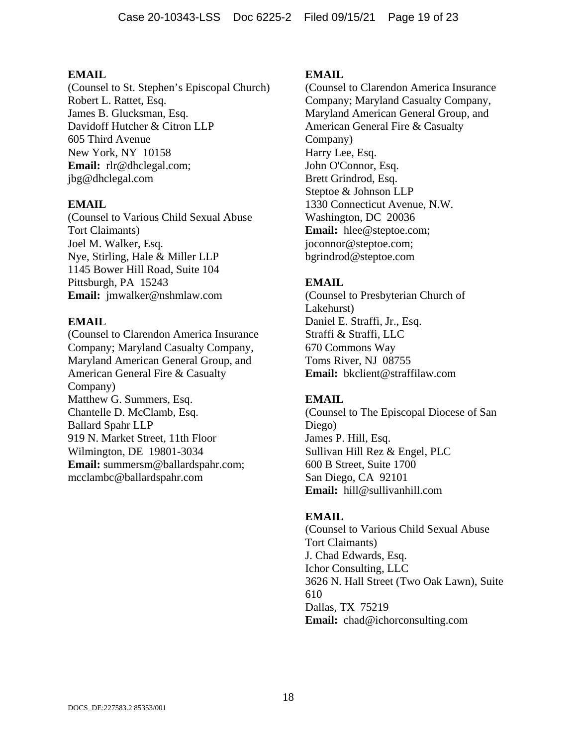(Counsel to St. Stephen's Episcopal Church) Robert L. Rattet, Esq. James B. Glucksman, Esq. Davidoff Hutcher & Citron LLP 605 Third Avenue New York, NY 10158 **Email:** rlr@dhclegal.com; jbg@dhclegal.com

### **EMAIL**

(Counsel to Various Child Sexual Abuse Tort Claimants) Joel M. Walker, Esq. Nye, Stirling, Hale & Miller LLP 1145 Bower Hill Road, Suite 104 Pittsburgh, PA 15243 **Email:** jmwalker@nshmlaw.com

## **EMAIL**

(Counsel to Clarendon America Insurance Company; Maryland Casualty Company, Maryland American General Group, and American General Fire & Casualty Company) Matthew G. Summers, Esq. Chantelle D. McClamb, Esq. Ballard Spahr LLP 919 N. Market Street, 11th Floor Wilmington, DE 19801-3034 **Email:** summersm@ballardspahr.com; mcclambc@ballardspahr.com

## **EMAIL**

(Counsel to Clarendon America Insurance Company; Maryland Casualty Company, Maryland American General Group, and American General Fire & Casualty Company) Harry Lee, Esq. John O'Connor, Esq. Brett Grindrod, Esq. Steptoe & Johnson LLP 1330 Connecticut Avenue, N.W. Washington, DC 20036 **Email:** hlee@steptoe.com; joconnor@steptoe.com; bgrindrod@steptoe.com

## **EMAIL**

(Counsel to Presbyterian Church of Lakehurst) Daniel E. Straffi, Jr., Esq. Straffi & Straffi, LLC 670 Commons Way Toms River, NJ 08755 **Email:** bkclient@straffilaw.com

## **EMAIL**

(Counsel to The Episcopal Diocese of San Diego) James P. Hill, Esq. Sullivan Hill Rez & Engel, PLC 600 B Street, Suite 1700 San Diego, CA 92101 **Email:** hill@sullivanhill.com

## **EMAIL**

(Counsel to Various Child Sexual Abuse Tort Claimants) J. Chad Edwards, Esq. Ichor Consulting, LLC 3626 N. Hall Street (Two Oak Lawn), Suite 610 Dallas, TX 75219 **Email:** chad@ichorconsulting.com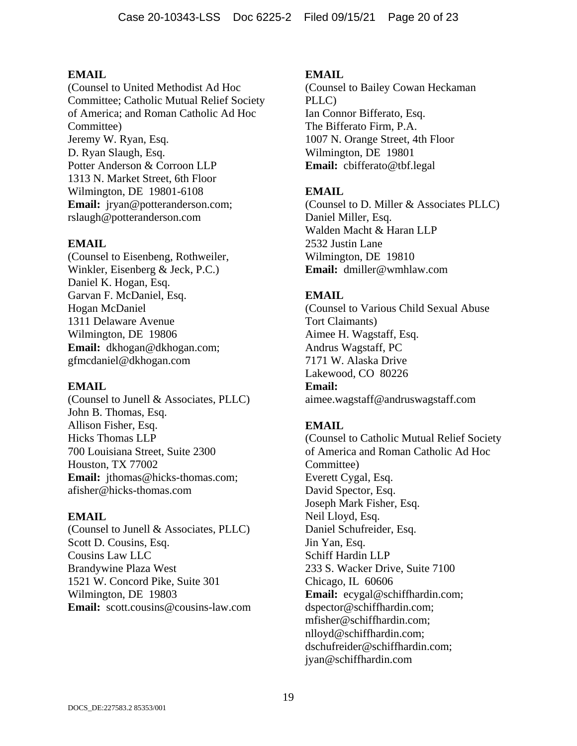(Counsel to United Methodist Ad Hoc Committee; Catholic Mutual Relief Society of America; and Roman Catholic Ad Hoc Committee) Jeremy W. Ryan, Esq. D. Ryan Slaugh, Esq. Potter Anderson & Corroon LLP 1313 N. Market Street, 6th Floor Wilmington, DE 19801-6108 **Email:** jryan@potteranderson.com; rslaugh@potteranderson.com

## **EMAIL**

(Counsel to Eisenbeng, Rothweiler, Winkler, Eisenberg & Jeck, P.C.) Daniel K. Hogan, Esq. Garvan F. McDaniel, Esq. Hogan McDaniel 1311 Delaware Avenue Wilmington, DE 19806 **Email:** dkhogan@dkhogan.com; gfmcdaniel@dkhogan.com

### **EMAIL**

(Counsel to Junell & Associates, PLLC) John B. Thomas, Esq. Allison Fisher, Esq. Hicks Thomas LLP 700 Louisiana Street, Suite 2300 Houston, TX 77002 Email: jthomas@hicks-thomas.com; afisher@hicks-thomas.com

### **EMAIL**

(Counsel to Junell & Associates, PLLC) Scott D. Cousins, Esq. Cousins Law LLC Brandywine Plaza West 1521 W. Concord Pike, Suite 301 Wilmington, DE 19803 **Email:** scott.cousins@cousins-law.com

### **EMAIL**

(Counsel to Bailey Cowan Heckaman PLLC) Ian Connor Bifferato, Esq. The Bifferato Firm, P.A. 1007 N. Orange Street, 4th Floor Wilmington, DE 19801 **Email:** cbifferato@tbf.legal

## **EMAIL**

(Counsel to D. Miller & Associates PLLC) Daniel Miller, Esq. Walden Macht & Haran LLP 2532 Justin Lane Wilmington, DE 19810 **Email:** dmiller@wmhlaw.com

## **EMAIL**

(Counsel to Various Child Sexual Abuse Tort Claimants) Aimee H. Wagstaff, Esq. Andrus Wagstaff, PC 7171 W. Alaska Drive Lakewood, CO 80226 **Email:** aimee.wagstaff@andruswagstaff.com

## **EMAIL**

(Counsel to Catholic Mutual Relief Society of America and Roman Catholic Ad Hoc Committee) Everett Cygal, Esq. David Spector, Esq. Joseph Mark Fisher, Esq. Neil Lloyd, Esq. Daniel Schufreider, Esq. Jin Yan, Esq. Schiff Hardin LLP 233 S. Wacker Drive, Suite 7100 Chicago, IL 60606 **Email:** ecygal@schiffhardin.com; dspector@schiffhardin.com; mfisher@schiffhardin.com; nlloyd@schiffhardin.com; dschufreider@schiffhardin.com; jyan@schiffhardin.com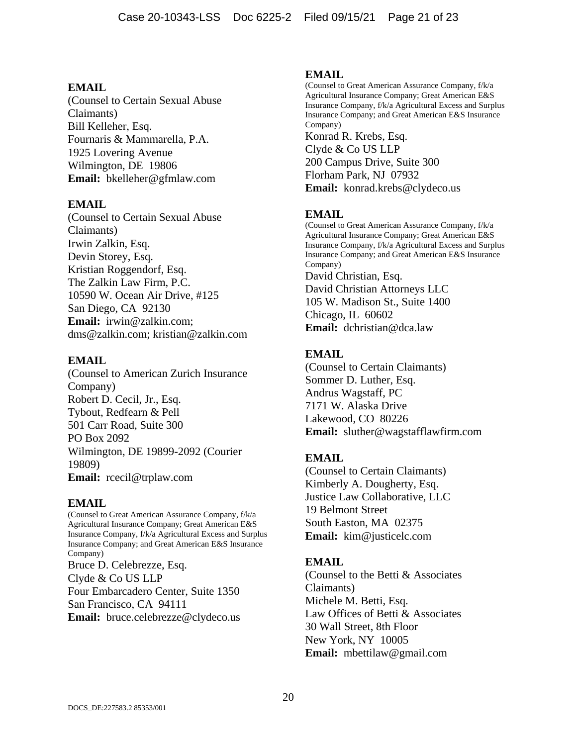(Counsel to Certain Sexual Abuse Claimants) Bill Kelleher, Esq. Fournaris & Mammarella, P.A. 1925 Lovering Avenue Wilmington, DE 19806 **Email:** bkelleher@gfmlaw.com

#### **EMAIL**

(Counsel to Certain Sexual Abuse Claimants) Irwin Zalkin, Esq. Devin Storey, Esq. Kristian Roggendorf, Esq. The Zalkin Law Firm, P.C. 10590 W. Ocean Air Drive, #125 San Diego, CA 92130 **Email:** irwin@zalkin.com; dms@zalkin.com; kristian@zalkin.com

#### **EMAIL**

(Counsel to American Zurich Insurance Company) Robert D. Cecil, Jr., Esq. Tybout, Redfearn & Pell 501 Carr Road, Suite 300 PO Box 2092 Wilmington, DE 19899-2092 (Courier 19809) **Email:** rcecil@trplaw.com

### **EMAIL**

(Counsel to Great American Assurance Company, f/k/a Agricultural Insurance Company; Great American E&S Insurance Company, f/k/a Agricultural Excess and Surplus Insurance Company; and Great American E&S Insurance Company) Bruce D. Celebrezze, Esq. Clyde & Co US LLP Four Embarcadero Center, Suite 1350 San Francisco, CA 94111 **Email:** bruce.celebrezze@clydeco.us

#### **EMAIL**

(Counsel to Great American Assurance Company, f/k/a Agricultural Insurance Company; Great American E&S Insurance Company, f/k/a Agricultural Excess and Surplus Insurance Company; and Great American E&S Insurance Company) Konrad R. Krebs, Esq. Clyde & Co US LLP 200 Campus Drive, Suite 300 Florham Park, NJ 07932 **Email:** konrad.krebs@clydeco.us

## **EMAIL**

(Counsel to Great American Assurance Company, f/k/a Agricultural Insurance Company; Great American E&S Insurance Company, f/k/a Agricultural Excess and Surplus Insurance Company; and Great American E&S Insurance Company) David Christian, Esq. David Christian Attorneys LLC 105 W. Madison St., Suite 1400 Chicago, IL 60602 **Email:** dchristian@dca.law

## **EMAIL**

(Counsel to Certain Claimants) Sommer D. Luther, Esq. Andrus Wagstaff, PC 7171 W. Alaska Drive Lakewood, CO 80226 **Email:** sluther@wagstafflawfirm.com

## **EMAIL**

(Counsel to Certain Claimants) Kimberly A. Dougherty, Esq. Justice Law Collaborative, LLC 19 Belmont Street South Easton, MA 02375 **Email:** kim@justicelc.com

### **EMAIL**

(Counsel to the Betti & Associates Claimants) Michele M. Betti, Esq. Law Offices of Betti & Associates 30 Wall Street, 8th Floor New York, NY 10005 **Email:** mbettilaw@gmail.com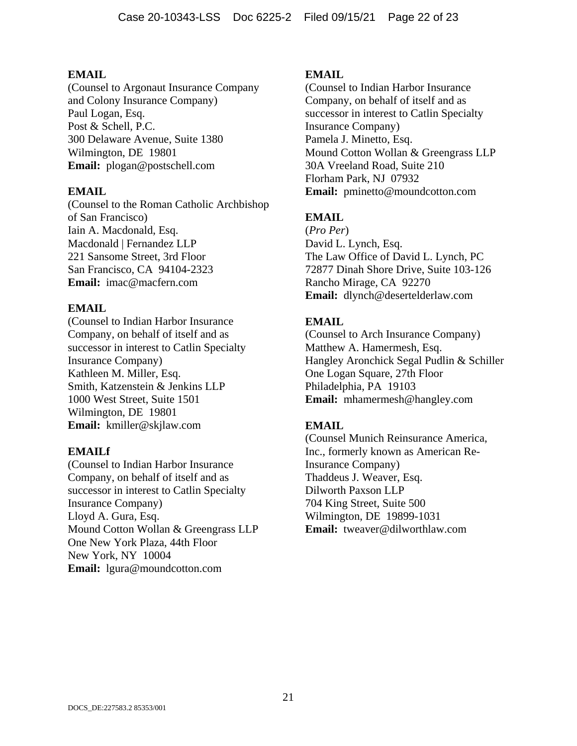(Counsel to Argonaut Insurance Company and Colony Insurance Company) Paul Logan, Esq. Post & Schell, P.C. 300 Delaware Avenue, Suite 1380 Wilmington, DE 19801 **Email:** plogan@postschell.com

## **EMAIL**

(Counsel to the Roman Catholic Archbishop of San Francisco) Iain A. Macdonald, Esq. Macdonald | Fernandez LLP 221 Sansome Street, 3rd Floor San Francisco, CA 94104-2323 **Email:** imac@macfern.com

## **EMAIL**

(Counsel to Indian Harbor Insurance Company, on behalf of itself and as successor in interest to Catlin Specialty Insurance Company) Kathleen M. Miller, Esq. Smith, Katzenstein & Jenkins LLP 1000 West Street, Suite 1501 Wilmington, DE 19801 **Email:** kmiller@skjlaw.com

### **EMAILf**

(Counsel to Indian Harbor Insurance Company, on behalf of itself and as successor in interest to Catlin Specialty Insurance Company) Lloyd A. Gura, Esq. Mound Cotton Wollan & Greengrass LLP One New York Plaza, 44th Floor New York, NY 10004 **Email:** lgura@moundcotton.com

## **EMAIL**

(Counsel to Indian Harbor Insurance Company, on behalf of itself and as successor in interest to Catlin Specialty Insurance Company) Pamela J. Minetto, Esq. Mound Cotton Wollan & Greengrass LLP 30A Vreeland Road, Suite 210 Florham Park, NJ 07932 **Email:** pminetto@moundcotton.com

## **EMAIL**

(*Pro Per*) David L. Lynch, Esq. The Law Office of David L. Lynch, PC 72877 Dinah Shore Drive, Suite 103-126 Rancho Mirage, CA 92270 **Email:** dlynch@desertelderlaw.com

## **EMAIL**

(Counsel to Arch Insurance Company) Matthew A. Hamermesh, Esq. Hangley Aronchick Segal Pudlin & Schiller One Logan Square, 27th Floor Philadelphia, PA 19103 **Email:** mhamermesh@hangley.com

## **EMAIL**

(Counsel Munich Reinsurance America, Inc., formerly known as American Re-Insurance Company) Thaddeus J. Weaver, Esq. Dilworth Paxson LLP 704 King Street, Suite 500 Wilmington, DE 19899-1031 **Email:** tweaver@dilworthlaw.com